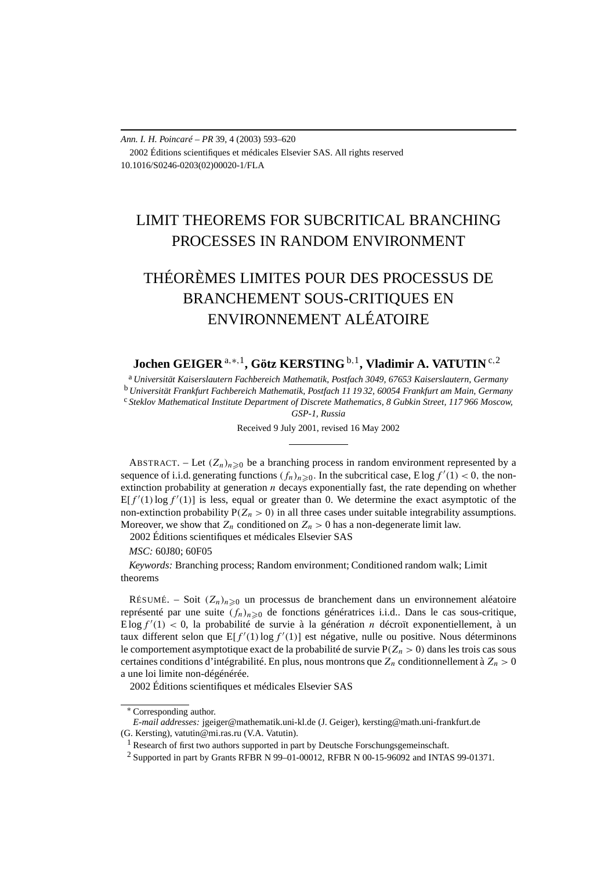*Ann. I. H. Poincaré – PR* 39, 4 (2003) 593–620 2002 Éditions scientifiques et médicales Elsevier SAS. All rights reserved 10.1016/S0246-0203(02)00020-1/FLA

# LIMIT THEOREMS FOR SUBCRITICAL BRANCHING PROCESSES IN RANDOM ENVIRONMENT

# THÉORÈMES LIMITES POUR DES PROCESSUS DE BRANCHEMENT SOUS-CRITIQUES EN ENVIRONNEMENT ALÉATOIRE

**Jochen GEIGER** <sup>a</sup>*,*∗*,*1**, Götz KERSTING** <sup>b</sup>*,*1**, Vladimir A. VATUTIN** <sup>c</sup>*,*<sup>2</sup>

<sup>a</sup> *Universität Kaiserslautern Fachbereich Mathematik, Postfach 3049, 67653 Kaiserslautern, Germany* <sup>b</sup> *Universität Frankfurt Fachbereich Mathematik, Postfach 11 19 32, 60054 Frankfurt am Main, Germany* <sup>c</sup> *Steklov Mathematical Institute Department of Discrete Mathematics, 8 Gubkin Street, 117 966 Moscow,*

*GSP-1, Russia*

Received 9 July 2001, revised 16 May 2002

ABSTRACT. – Let  $(Z_n)_{n\geq 0}$  be a branching process in random environment represented by a sequence of i.i.d. generating functions  $(f_n)_{n\geqslant 0}$ . In the subcritical case, E log  $f'(1) < 0$ , the nonextinction probability at generation *n* decays exponentially fast, the rate depending on whether  $E[f'(1) \log f'(1)]$  is less, equal or greater than 0. We determine the exact asymptotic of the non-extinction probability  $P(Z_n > 0)$  in all three cases under suitable integrability assumptions. Moreover, we show that  $Z_n$  conditioned on  $Z_n > 0$  has a non-degenerate limit law.

2002 Éditions scientifiques et médicales Elsevier SAS

*MSC:* 60J80; 60F05

*Keywords:* Branching process; Random environment; Conditioned random walk; Limit theorems

RÉSUMÉ. – Soit  $(Z_n)_{n\geq 0}$  un processus de branchement dans un environnement aléatoire représenté par une suite  $(f_n)_{n\geq 0}$  de fonctions génératrices i.i.d.. Dans le cas sous-critique,  $E \log f'(1) < 0$ , la probabilité de survie à la génération *n* décroït exponentiellement, à un taux different selon que  $E[f'(1) \log f'(1)]$  est négative, nulle ou positive. Nous déterminons le comportement asymptotique exact de la probabilité de survie  $P(Z_n > 0)$  dans les trois cas sous certaines conditions d'intégrabilité. En plus, nous montrons que *Zn* conditionnellement à *Zn >* 0 a une loi limite non-dégénérée.

2002 Éditions scientifiques et médicales Elsevier SAS

<sup>∗</sup> Corresponding author.

*E-mail addresses:* jgeiger@mathematik.uni-kl.de (J. Geiger), kersting@math.uni-frankfurt.de (G. Kersting), vatutin@mi.ras.ru (V.A. Vatutin).

<sup>&</sup>lt;sup>1</sup> Research of first two authors supported in part by Deutsche Forschungsgemeinschaft.

 $2$  Supported in part by Grants RFBR N 99–01-00012, RFBR N 00-15-96092 and INTAS 99-01371.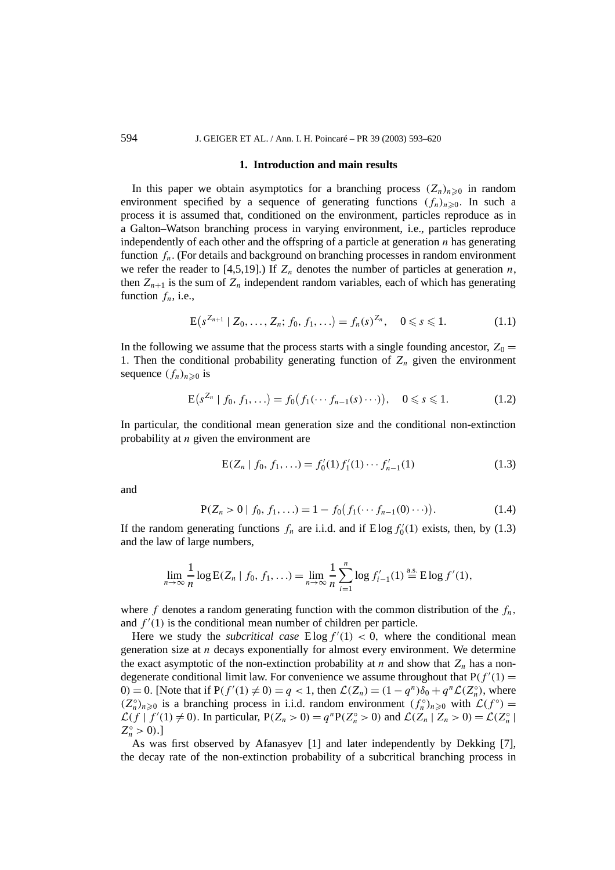#### **1. Introduction and main results**

In this paper we obtain asymptotics for a branching process  $(Z_n)_{n\geq 0}$  in random environment specified by a sequence of generating functions  $(f_n)_{n\geq 0}$ . In such a process it is assumed that, conditioned on the environment, particles reproduce as in a Galton–Watson branching process in varying environment, i.e., particles reproduce independently of each other and the offspring of a particle at generation *n* has generating function  $f_n$ . (For details and background on branching processes in random environment we refer the reader to [4,5,19].) If  $Z_n$  denotes the number of particles at generation *n*, then  $Z_{n+1}$  is the sum of  $Z_n$  independent random variables, each of which has generating function  $f_n$ , i.e.,

$$
E(s^{Z_{n+1}} | Z_0, \dots, Z_n; f_0, f_1, \dots) = f_n(s)^{Z_n}, \quad 0 \le s \le 1.
$$
 (1.1)

In the following we assume that the process starts with a single founding ancestor,  $Z_0 =$ 1. Then the conditional probability generating function of  $Z_n$  given the environment sequence  $(f_n)_{n\geq 0}$  is

$$
E(s^{Z_n} \mid f_0, f_1, \ldots) = f_0(f_1(\cdots f_{n-1}(s) \cdots)), \quad 0 \le s \le 1.
$$
 (1.2)

In particular, the conditional mean generation size and the conditional non-extinction probability at *n* given the environment are

$$
E(Z_n | f_0, f_1, \ldots) = f'_0(1) f'_1(1) \cdots f'_{n-1}(1)
$$
\n(1.3)

and

$$
P(Z_n > 0 | f_0, f_1, \ldots) = 1 - f_0(f_1(\cdots f_{n-1}(0) \cdots)).
$$
\n(1.4)

If the random generating functions  $f_n$  are i.i.d. and if  $E \log f'_0(1)$  exists, then, by (1.3) and the law of large numbers,

$$
\lim_{n \to \infty} \frac{1}{n} \log E(Z_n \mid f_0, f_1, \ldots) = \lim_{n \to \infty} \frac{1}{n} \sum_{i=1}^n \log f'_{i-1}(1) \stackrel{\text{a.s.}}{=} E \log f'(1),
$$

where  $f$  denotes a random generating function with the common distribution of the  $f_n$ , and  $f'(1)$  is the conditional mean number of children per particle.

Here we study the *subcritical case*  $E \log f'(1) < 0$ , where the conditional mean generation size at *n* decays exponentially for almost every environment. We determine the exact asymptotic of the non-extinction probability at *n* and show that  $Z_n$  has a nondegenerate conditional limit law. For convenience we assume throughout that  $P(f'(1)) =$  $(0) = 0$ . [Note that if  $P(f'(1) \neq 0) = q < 1$ , then  $\mathcal{L}(Z_n) = (1 - q^n)\delta_0 + q^n \mathcal{L}(Z_n^{\circ})$ , where  $(Z_n^{\circ})_{n\geqslant0}$  is a branching process in i.i.d. random environment  $(f_n^{\circ})_{n\geqslant0}$  with  $\mathcal{L}(f^{\circ})$  =  $\mathcal{L}(f | f'(1) \neq 0)$ . In particular,  $P(Z_n > 0) = q^n P(Z_n^{\circ} > 0)$  and  $\mathcal{L}(Z_n | Z_n > 0) = \mathcal{L}(Z_n^{\circ})$  $Z_n^{\circ} > 0$ .]

As was first observed by Afanasyev [1] and later independently by Dekking [7], the decay rate of the non-extinction probability of a subcritical branching process in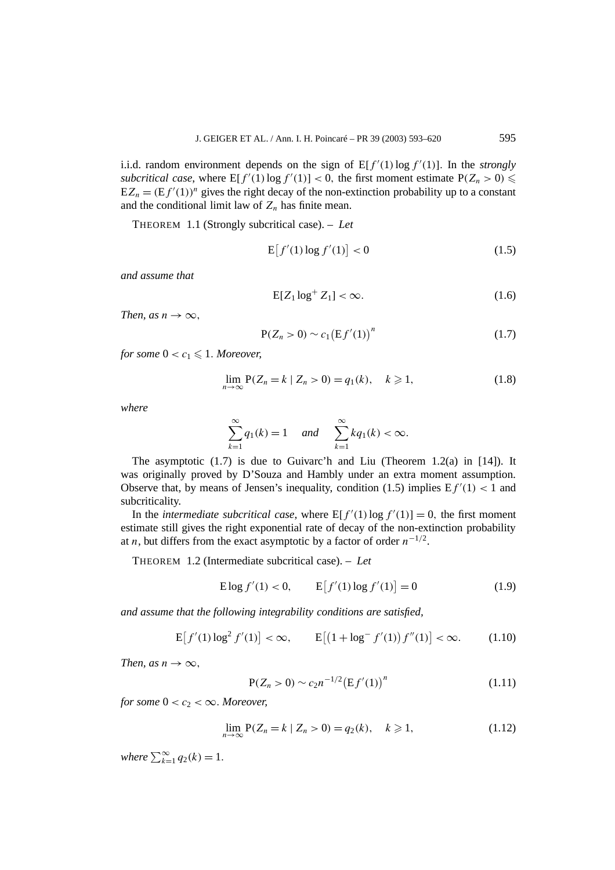i.i.d. random environment depends on the sign of  $E[f'(1)]\log f'(1)$ . In the *strongly* subcritical case, where  $E[f'(1) \log f'(1)] < 0$ , the first moment estimate  $P(Z_n > 0) \le$  $EZ_n = (Ef'(1))^n$  gives the right decay of the non-extinction probability up to a constant and the conditional limit law of  $Z_n$  has finite mean.

THEOREM 1.1 (Strongly subcritical case). – *Let*

$$
E[f'(1)\log f'(1)] < 0\tag{1.5}
$$

*and assume that*

$$
E[Z_1 \log^+ Z_1] < \infty. \tag{1.6}
$$

*Then, as*  $n \rightarrow \infty$ *,* 

$$
P(Z_n > 0) \sim c_1 (Ef'(1))^n
$$
 (1.7)

*for some*  $0 < c_1 \leq 1$ *. Moreover,* 

$$
\lim_{n \to \infty} P(Z_n = k \mid Z_n > 0) = q_1(k), \quad k \geq 1,\tag{1.8}
$$

*where*

$$
\sum_{k=1}^{\infty} q_1(k) = 1 \quad \text{and} \quad \sum_{k=1}^{\infty} k q_1(k) < \infty.
$$

The asymptotic (1.7) is due to Guivarc'h and Liu (Theorem 1.2(a) in [14]). It was originally proved by D'Souza and Hambly under an extra moment assumption. Observe that, by means of Jensen's inequality, condition (1.5) implies  $Ef'(1) < 1$  and subcriticality.

In the *intermediate subcritical case*, where  $E[f'(1) \log f'(1)] = 0$ , the first moment estimate still gives the right exponential rate of decay of the non-extinction probability at *n*, but differs from the exact asymptotic by a factor of order  $n^{-1/2}$ .

THEOREM 1.2 (Intermediate subcritical case). – *Let*

$$
E \log f'(1) < 0, \qquad E[f'(1) \log f'(1)] = 0 \tag{1.9}
$$

*and assume that the following integrability conditions are satisfied,*

$$
E[f'(1)\log^2 f'(1)] < \infty, \qquad E[(1 + \log^- f'(1)) f''(1)] < \infty. \tag{1.10}
$$

*Then, as*  $n \rightarrow \infty$ *,* 

$$
P(Z_n > 0) \sim c_2 n^{-1/2} (Ef'(1))^n
$$
\n(1.11)

*for some*  $0 < c_2 < \infty$ *. Moreover,* 

$$
\lim_{n \to \infty} P(Z_n = k \mid Z_n > 0) = q_2(k), \quad k \geq 1,\tag{1.12}
$$

*where*  $\sum_{k=1}^{\infty} q_2(k) = 1$ *.*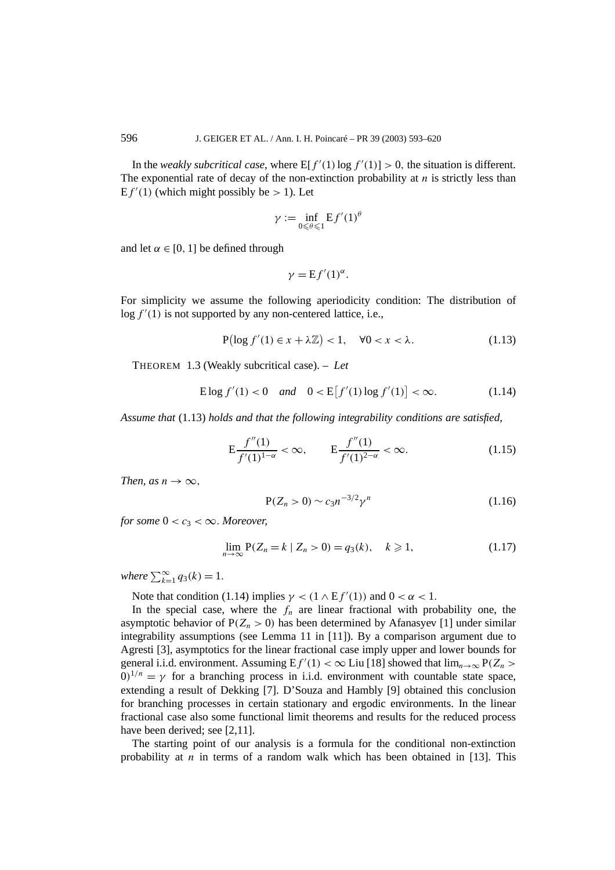In the *weakly subcritical case*, where  $E[f'(1) \log f'(1)] > 0$ , the situation is different. The exponential rate of decay of the non-extinction probability at  $n$  is strictly less than  $E f'(1)$  (which might possibly be  $> 1$ ). Let

$$
\gamma := \inf_{0 \le \theta \le 1} \mathbf{E} f'(1)^{\theta}
$$

and let  $\alpha \in [0, 1]$  be defined through

$$
\gamma = \mathbf{E} f'(1)^{\alpha}.
$$

For simplicity we assume the following aperiodicity condition: The distribution of  $\log f'(1)$  is not supported by any non-centered lattice, i.e.,

$$
P(\log f'(1) \in x + \lambda \mathbb{Z}) < 1, \quad \forall 0 < x < \lambda. \tag{1.13}
$$

THEOREM 1.3 (Weakly subcritical case). – *Let*

$$
E \log f'(1) < 0 \quad \text{and} \quad 0 < E[f'(1) \log f'(1)] < \infty. \tag{1.14}
$$

*Assume that* (1.13) *holds and that the following integrability conditions are satisfied,*

$$
E\frac{f''(1)}{f'(1)^{1-\alpha}} < \infty, \qquad E\frac{f''(1)}{f'(1)^{2-\alpha}} < \infty.
$$
 (1.15)

*Then, as*  $n \rightarrow \infty$ *,* 

$$
P(Z_n > 0) \sim c_3 n^{-3/2} \gamma^n \tag{1.16}
$$

*for some*  $0 < c_3 < \infty$ *. Moreover,* 

$$
\lim_{n \to \infty} P(Z_n = k \mid Z_n > 0) = q_3(k), \quad k \geq 1,\tag{1.17}
$$

*where*  $\sum_{k=1}^{\infty} q_3(k) = 1$ *.* 

Note that condition (1.14) implies  $\gamma < (1 \wedge Ef'(1))$  and  $0 < \alpha < 1$ .

In the special case, where the  $f_n$  are linear fractional with probability one, the asymptotic behavior of  $P(Z_n > 0)$  has been determined by Afanasyev [1] under similar integrability assumptions (see Lemma 11 in [11]). By a comparison argument due to Agresti [3], asymptotics for the linear fractional case imply upper and lower bounds for general i.i.d. environment. Assuming  $E f'(1) < \infty$  Liu [18] showed that  $\lim_{n\to\infty} P(Z_n >$  $0^{1/n} = \gamma$  for a branching process in i.i.d. environment with countable state space, extending a result of Dekking [7]. D'Souza and Hambly [9] obtained this conclusion for branching processes in certain stationary and ergodic environments. In the linear fractional case also some functional limit theorems and results for the reduced process have been derived; see [2,11].

The starting point of our analysis is a formula for the conditional non-extinction probability at *n* in terms of a random walk which has been obtained in [13]. This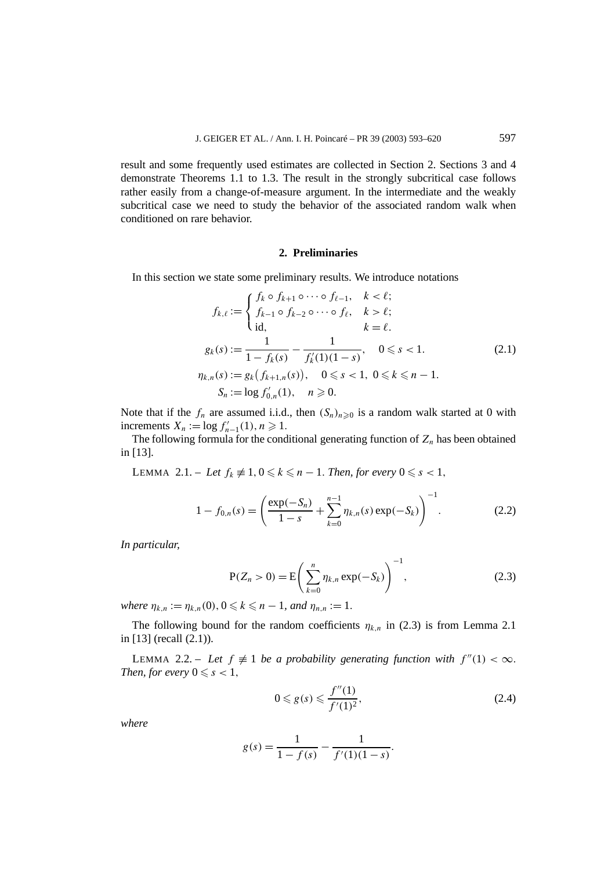result and some frequently used estimates are collected in Section 2. Sections 3 and 4 demonstrate Theorems 1.1 to 1.3. The result in the strongly subcritical case follows rather easily from a change-of-measure argument. In the intermediate and the weakly subcritical case we need to study the behavior of the associated random walk when conditioned on rare behavior.

#### **2. Preliminaries**

In this section we state some preliminary results. We introduce notations

$$
f_{k,\ell} := \begin{cases} f_k \circ f_{k+1} \circ \cdots \circ f_{\ell-1}, & k < \ell; \\ f_{k-1} \circ f_{k-2} \circ \cdots \circ f_{\ell}, & k > \ell; \\ \text{id}, & k = \ell. \end{cases}
$$
  

$$
g_k(s) := \frac{1}{1 - f_k(s)} - \frac{1}{f'_k(1)(1 - s)}, \quad 0 \le s < 1.
$$
  

$$
\eta_{k,n}(s) := g_k(f_{k+1,n}(s)), \quad 0 \le s < 1, \quad 0 \le k \le n - 1.
$$
  

$$
S_n := \log f'_{0,n}(1), \quad n \ge 0.
$$
  
(2.1)

Note that if the  $f_n$  are assumed i.i.d., then  $(S_n)_{n\geqslant0}$  is a random walk started at 0 with increments  $X_n := \log f'_{n-1}(1), n \ge 1.$ 

The following formula for the conditional generating function of  $Z_n$  has been obtained in [13].

LEMMA 2.1. – Let  $f_k \neq 1, 0 \leq k \leq n-1$ . Then, for every  $0 \leq s < 1$ ,

$$
1 - f_{0,n}(s) = \left(\frac{\exp(-S_n)}{1 - s} + \sum_{k=0}^{n-1} \eta_{k,n}(s) \exp(-S_k)\right)^{-1}.
$$
 (2.2)

*In particular,*

$$
P(Z_n > 0) = E\left(\sum_{k=0}^n \eta_{k,n} \exp(-S_k)\right)^{-1},
$$
\n(2.3)

 $where \eta_{k,n} := \eta_{k,n}(0), 0 \leq k \leq n-1, and \eta_{n,n} := 1.$ 

The following bound for the random coefficients  $\eta_{k,n}$  in (2.3) is from Lemma 2.1 in [13] (recall (2.1)).

LEMMA 2.2. – Let  $f \neq 1$  be a probability generating function with  $f''(1) < \infty$ . *Then, for every*  $0 \leq s < 1$ *,* 

$$
0 \leq g(s) \leq \frac{f''(1)}{f'(1)^2},\tag{2.4}
$$

*where*

$$
g(s) = \frac{1}{1 - f(s)} - \frac{1}{f'(1)(1 - s)}.
$$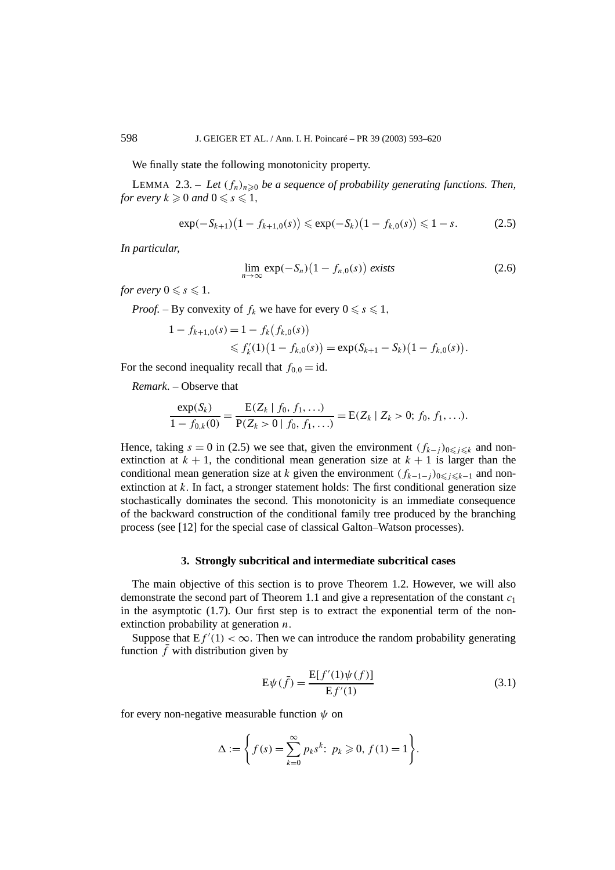We finally state the following monotonicity property.

LEMMA 2.3. – Let  $(f_n)_{n\geq 0}$  be a sequence of probability generating functions. Then, *for every*  $k \geqslant 0$  *and*  $0 \leqslant s \leqslant 1$ *,* 

$$
\exp(-S_{k+1})(1 - f_{k+1,0}(s)) \le \exp(-S_k)(1 - f_{k,0}(s)) \le 1 - s. \tag{2.5}
$$

*In particular,*

$$
\lim_{n \to \infty} \exp(-S_n) \left(1 - f_{n,0}(s)\right) \text{ exists} \tag{2.6}
$$

*for every*  $0 \leq s \leq 1$ .

*Proof.* – By convexity of  $f_k$  we have for every  $0 \le s \le 1$ ,

$$
\begin{aligned} 1 - f_{k+1,0}(s) &= 1 - f_k(f_{k,0}(s)) \\ &\leq f'_k(1) \big( 1 - f_{k,0}(s) \big) = \exp(S_{k+1} - S_k) \big( 1 - f_{k,0}(s) \big). \end{aligned}
$$

For the second inequality recall that  $f_{0,0} = id$ .

*Remark*. – Observe that

$$
\frac{\exp(S_k)}{1 - f_{0,k}(0)} = \frac{E(Z_k \mid f_0, f_1, \ldots)}{P(Z_k > 0 \mid f_0, f_1, \ldots)} = E(Z_k \mid Z_k > 0; f_0, f_1, \ldots).
$$

Hence, taking *s* = 0 in (2.5) we see that, given the environment  $(f_{k-j})_{0 \le j \le k}$  and nonextinction at  $k + 1$ , the conditional mean generation size at  $k + 1$  is larger than the conditional mean generation size at *k* given the environment  $(f_{k-1-j})_{0 \leq j \leq k-1}$  and nonextinction at  $k$ . In fact, a stronger statement holds: The first conditional generation size stochastically dominates the second. This monotonicity is an immediate consequence of the backward construction of the conditional family tree produced by the branching process (see [12] for the special case of classical Galton–Watson processes).

## **3. Strongly subcritical and intermediate subcritical cases**

The main objective of this section is to prove Theorem 1.2. However, we will also demonstrate the second part of Theorem 1.1 and give a representation of the constant *c*<sup>1</sup> in the asymptotic  $(1.7)$ . Our first step is to extract the exponential term of the nonextinction probability at generation *n.*

Suppose that  $Ef'(1) < \infty$ . Then we can introduce the random probability generating function  $\bar{f}$  with distribution given by

$$
E\psi(\bar{f}) = \frac{E[f'(1)\psi(f)]}{Ef'(1)}
$$
(3.1)

for every non-negative measurable function *ψ* on

$$
\Delta := \left\{ f(s) = \sum_{k=0}^{\infty} p_k s^k : p_k \geq 0, f(1) = 1 \right\}.
$$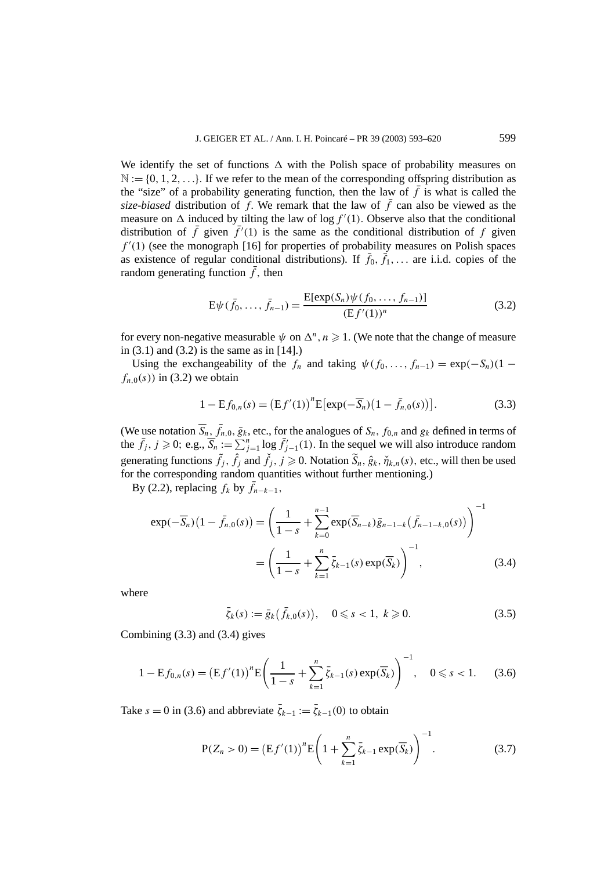We identify the set of functions  $\Delta$  with the Polish space of probability measures on  $\mathbb{N} := \{0, 1, 2, \ldots\}$ . If we refer to the mean of the corresponding offspring distribution as the "size" of a probability generating function, then the law of  $\bar{f}$  is what is called the *size-biased* distribution of *f*. We remark that the law of  $\bar{f}$  can also be viewed as the measure on  $\Delta$  induced by tilting the law of log  $f'(1)$ . Observe also that the conditional distribution of  $\bar{f}$  given  $\bar{f}'(1)$  is the same as the conditional distribution of  $f$  given  $f'(1)$  (see the monograph [16] for properties of probability measures on Polish spaces as existence of regular conditional distributions). If  $\bar{f}_0$ ,  $\bar{f}_1$ ,... are i.i.d. copies of the random generating function  $\bar{f}$ , then

$$
E\psi(\bar{f}_0, \dots, \bar{f}_{n-1}) = \frac{E[\exp(S_n)\psi(f_0, \dots, f_{n-1})]}{(Ef'(1))^n}
$$
(3.2)

for every non-negative measurable  $\psi$  on  $\Delta^n$ ,  $n \geq 1$ . (We note that the change of measure in  $(3.1)$  and  $(3.2)$  is the same as in  $[14]$ .)

Using the exchangeability of the  $f_n$  and taking  $\psi(f_0, \ldots, f_{n-1}) = \exp(-S_n)(1$  $f_{n,0}(s)$  in (3.2) we obtain

$$
1 - \mathbf{E} f_{0,n}(s) = \left(\mathbf{E} f'(1)\right)^n \mathbf{E} \left[\exp(-\overline{S}_n)\left(1 - \overline{f}_{n,0}(s)\right)\right].\tag{3.3}
$$

(We use notation  $\overline{S}_n$ ,  $\overline{f}_{n,0}$ ,  $\overline{g}_k$ , etc., for the analogues of  $S_n$ ,  $f_{0,n}$  and  $g_k$  defined in terms of the  $\bar{f}_j$ ,  $j \ge 0$ ; e.g.,  $\bar{S}_n := \sum_{j=1}^n \log \bar{f}'_{j-1}(1)$ . In the sequel we will also introduce random generating functions  $\tilde{f}_j$ ,  $\hat{f}_j$  and  $\check{f}_j$ ,  $j \ge 0$ . Notation  $\tilde{S}_n$ ,  $\hat{g}_k$ ,  $\check{\eta}_{k,n}(s)$ , etc., will then be used for the corresponding random quantities without further mentioning.)

By (2.2), replacing  $f_k$  by  $\bar{f}_{n-k-1}$ ,

$$
\exp(-\overline{S}_n)\left(1-\overline{f}_{n,0}(s)\right) = \left(\frac{1}{1-s} + \sum_{k=0}^{n-1} \exp(\overline{S}_{n-k})\overline{g}_{n-1-k}\left(\overline{f}_{n-1-k,0}(s)\right)\right)^{-1}
$$

$$
= \left(\frac{1}{1-s} + \sum_{k=1}^{n} \overline{\zeta}_{k-1}(s) \exp(\overline{S}_k)\right)^{-1}, \tag{3.4}
$$

where

$$
\bar{\zeta}_k(s) := \bar{g}_k(\bar{f}_{k,0}(s)), \quad 0 \le s < 1, \ k \ge 0. \tag{3.5}
$$

Combining (3.3) and (3.4) gives

$$
1 - \mathbf{E} f_{0,n}(s) = \left(\mathbf{E} f'(1)\right)^n \mathbf{E} \left(\frac{1}{1-s} + \sum_{k=1}^n \bar{\zeta}_{k-1}(s) \exp(\overline{S}_k)\right)^{-1}, \quad 0 \le s < 1. \tag{3.6}
$$

Take  $s = 0$  in (3.6) and abbreviate  $\bar{\zeta}_{k-1} := \bar{\zeta}_{k-1}(0)$  to obtain

$$
P(Z_n > 0) = (Ef'(1))^n E\left(1 + \sum_{k=1}^n \bar{\zeta}_{k-1} \exp(\overline{S}_k)\right)^{-1}.
$$
 (3.7)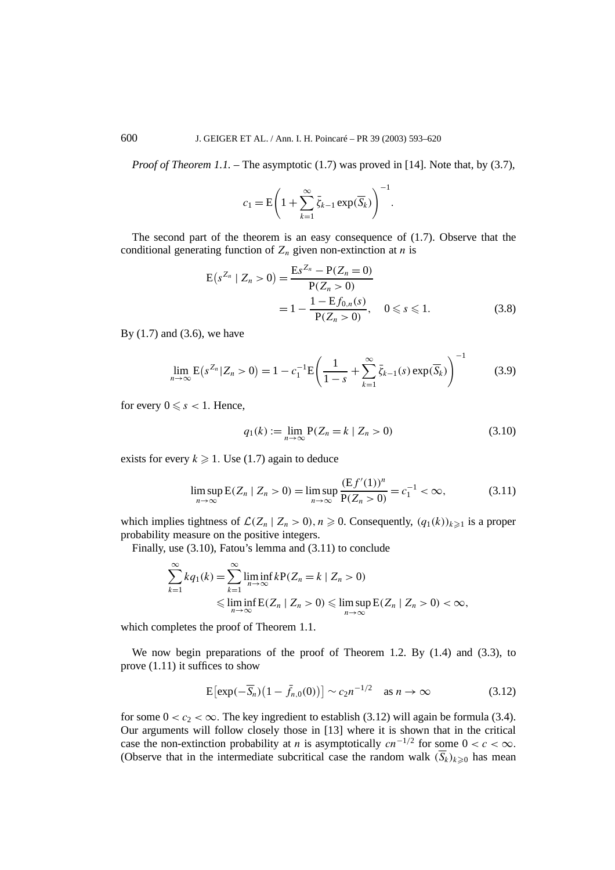*Proof of Theorem 1.1.* – The asymptotic (1.7) was proved in [14]. Note that, by (3.7),

$$
c_1 = \mathbf{E}\bigg(1 + \sum_{k=1}^{\infty} \bar{\zeta}_{k-1} \exp(\overline{S}_k)\bigg)^{-1}.
$$

The second part of the theorem is an easy consequence of (1.7). Observe that the conditional generating function of  $Z_n$  given non-extinction at *n* is

$$
E(s^{Z_n} | Z_n > 0) = \frac{E s^{Z_n} - P(Z_n = 0)}{P(Z_n > 0)}
$$
  
=  $1 - \frac{1 - E f_{0,n}(s)}{P(Z_n > 0)}, \quad 0 \le s \le 1.$  (3.8)

By (1.7) and (3.6), we have

$$
\lim_{n \to \infty} E(s^{Z_n} | Z_n > 0) = 1 - c_1^{-1} E\left(\frac{1}{1 - s} + \sum_{k=1}^{\infty} \bar{\zeta}_{k-1}(s) \exp(\overline{S}_k)\right)^{-1}
$$
(3.9)

for every  $0 \leq s < 1$ . Hence,

$$
q_1(k) := \lim_{n \to \infty} P(Z_n = k \mid Z_n > 0)
$$
 (3.10)

exists for every  $k \geqslant 1$ . Use (1.7) again to deduce

$$
\limsup_{n \to \infty} E(Z_n \mid Z_n > 0) = \limsup_{n \to \infty} \frac{(Ef'(1))^n}{P(Z_n > 0)} = c_1^{-1} < \infty,\tag{3.11}
$$

which implies tightness of  $\mathcal{L}(Z_n | Z_n > 0), n \ge 0$ . Consequently,  $(q_1(k))_{k \ge 1}$  is a proper probability measure on the positive integers.

Finally, use (3.10), Fatou's lemma and (3.11) to conclude

$$
\sum_{k=1}^{\infty} kq_1(k) = \sum_{k=1}^{\infty} \liminf_{n \to \infty} kP(Z_n = k \mid Z_n > 0)
$$
  
\$\leqslant \liminf\_{n \to \infty} E(Z\_n \mid Z\_n > 0) \leqslant \limsup\_{n \to \infty} E(Z\_n \mid Z\_n > 0) < \infty\$,

which completes the proof of Theorem 1.1.

We now begin preparations of the proof of Theorem 1.2. By (1.4) and (3.3), to prove (1.11) it suffices to show

$$
E\left[\exp(-\overline{S}_n)\left(1-\overline{f}_{n,0}(0)\right)\right] \sim c_2 n^{-1/2} \quad \text{as } n \to \infty \tag{3.12}
$$

for some  $0 < c_2 < \infty$ . The key ingredient to establish (3.12) will again be formula (3.4). Our arguments will follow closely those in [13] where it is shown that in the critical case the non-extinction probability at *n* is asymptotically  $cn^{-1/2}$  for some  $0 < c < \infty$ . (Observe that in the intermediate subcritical case the random walk  $(\overline{S}_k)_{k\geq0}$  has mean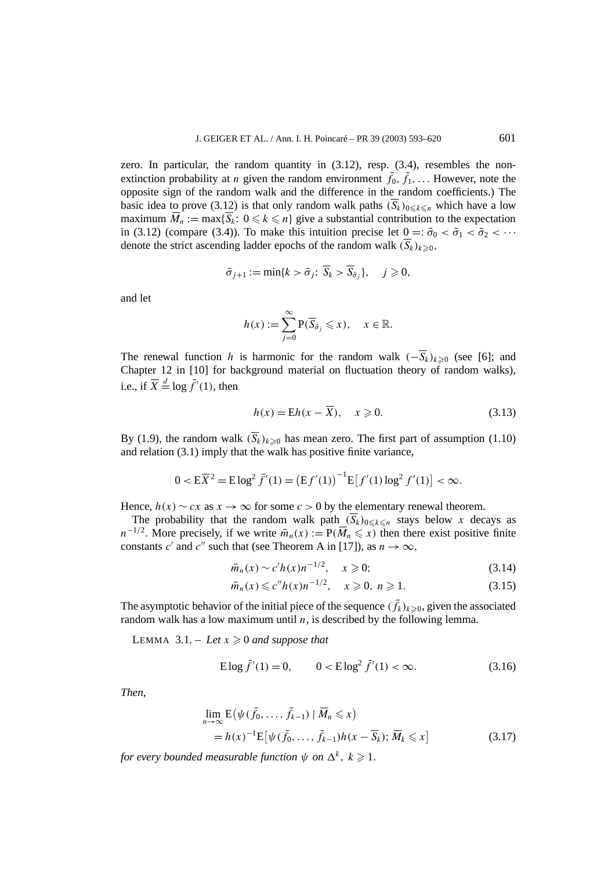zero. In particular, the random quantity in (3.12), resp. (3.4), resembles the nonextinction probability at *n* given the random environment  $\bar{f}_0$ ,  $\bar{f}_1$ ,... However, note the opposite sign of the random walk and the difference in the random coefficients.) The basic idea to prove (3.12) is that only random walk paths  $(\overline{S}_k)_{0\leq k\leq n}$  which have a low maximum  $\overline{M}_n := \max{\{\overline{S}_k: 0 \leq k \leq n\}}$  give a substantial contribution to the expectation in (3.12) (compare (3.4)). To make this intuition precise let  $0 =: \bar{\sigma}_0 < \bar{\sigma}_1 < \bar{\sigma}_2 < \cdots$ denote the strict ascending ladder epochs of the random walk  $(\overline{S}_k)_{k \geq 0}$ ,

$$
\bar{\sigma}_{j+1} := \min\{k > \bar{\sigma}_j \colon \overline{S}_k > \overline{S}_{\bar{\sigma}_j}\}, \quad j \geq 0,
$$

and let

$$
h(x) := \sum_{j=0}^{\infty} P(\overline{S}_{\overline{\sigma}_j} \leqslant x), \quad x \in \mathbb{R}.
$$

The renewal function *h* is harmonic for the random walk  $(-\overline{S}_k)_{k\geq0}$  (see [6]; and Chapter 12 in [10] for background material on fluctuation theory of random walks), i.e., if  $\overline{X} \stackrel{d}{=} \log \overline{f}'(1)$ , then

$$
h(x) = \mathbb{E}h(x - \overline{X}), \quad x \ge 0. \tag{3.13}
$$

By (1.9), the random walk  $(\overline{S}_k)_{k\geq0}$  has mean zero. The first part of assumption (1.10) and relation (3.1) imply that the walk has positive finite variance,

$$
0 < E\overline{X}^2 = E\log^2 \overline{f}'(1) = \left(Ef'(1)\right)^{-1} E\left[f'(1)\log^2 f'(1)\right] < \infty.
$$

Hence,  $h(x) \sim cx$  as  $x \to \infty$  for some  $c > 0$  by the elementary renewal theorem.

The probability that the random walk path  $(\overline{S}_k)_{0 \leq k \leq n}$  stays below *x* decays as  $n^{-1/2}$ . More precisely, if we write  $\bar{m}_n(x) := P(\bar{M}_n \leq x)$  then there exist positive finite constants *c*' and *c*'' such that (see Theorem A in [17]), as  $n \to \infty$ ,

$$
\bar{m}_n(x) \sim c'h(x)n^{-1/2}, \quad x \ge 0; \tag{3.14}
$$

$$
\bar{m}_n(x) \leq c'' h(x) n^{-1/2}, \quad x \geq 0, \ n \geq 1. \tag{3.15}
$$

The asymptotic behavior of the initial piece of the sequence  $(\bar{f}_k)_{k\geqslant0}$ , given the associated random walk has a low maximum until *n*, is described by the following lemma.

LEMMA  $3.1. - Let x \geq 0$  and suppose that

E log 
$$
\bar{f}'(1) = 0
$$
,  $0 < E \log^2 \bar{f}'(1) < \infty$ . (3.16)

*Then,*

$$
\lim_{n \to \infty} \mathcal{E}(\psi(\bar{f}_0, \dots, \bar{f}_{k-1}) | \bar{M}_n \leq x)
$$
  
=  $h(x)^{-1} \mathcal{E}[\psi(\bar{f}_0, \dots, \bar{f}_{k-1}) h(x - \overline{S}_k); \bar{M}_k \leq x]$  (3.17)

*for every bounded measurable function*  $\psi$  *on*  $\Delta^k$ ,  $k \geqslant 1$ .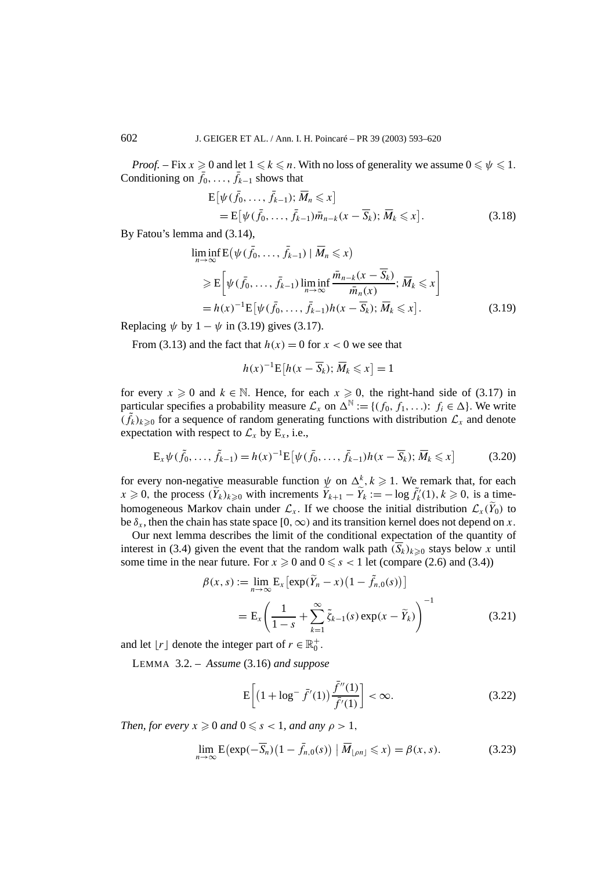*Proof.* – Fix  $x \ge 0$  and let  $1 \le k \le n$ . With no loss of generality we assume  $0 \le \psi \le 1$ . Conditioning on  $\bar{f}_0, \ldots, \bar{f}_{k-1}$  shows that

$$
E[\psi(\bar{f}_0,\ldots,\bar{f}_{k-1});\overline{M}_n\leqslant x]
$$
  
= 
$$
E[\psi(\bar{f}_0,\ldots,\bar{f}_{k-1})\bar{m}_{n-k}(x-\overline{S}_k);\overline{M}_k\leqslant x].
$$
 (3.18)

By Fatou's lemma and (3.14),

$$
\liminf_{n \to \infty} E(\psi(\bar{f}_0, \dots, \bar{f}_{k-1}) | \bar{M}_n \le x)
$$
\n
$$
\ge E\left[\psi(\bar{f}_0, \dots, \bar{f}_{k-1}) \liminf_{n \to \infty} \frac{\bar{m}_{n-k}(x - \overline{S}_k)}{\bar{m}_n(x)}; \bar{M}_k \le x\right]
$$
\n
$$
= h(x)^{-1} E\left[\psi(\bar{f}_0, \dots, \bar{f}_{k-1}) h(x - \overline{S}_k); \bar{M}_k \le x\right].
$$
\n(3.19)

Replacing  $\psi$  by  $1 - \psi$  in (3.19) gives (3.17).

From (3.13) and the fact that  $h(x) = 0$  for  $x < 0$  we see that

$$
h(x)^{-1} \mathbf{E}[h(x - \overline{S}_k); \overline{M}_k \leq x] = 1
$$

for every  $x \ge 0$  and  $k \in \mathbb{N}$ . Hence, for each  $x \ge 0$ , the right-hand side of (3.17) in particular specifies a probability measure  $\mathcal{L}_x$  on  $\Delta^{\mathbb{N}} := \{(f_0, f_1, \ldots): f_i \in \Delta\}$ . We write  $(f_k)_{k\geqslant 0}$  for a sequence of random generating functions with distribution  $\mathcal{L}_x$  and denote expectation with respect to  $\mathcal{L}_x$  by  $E_x$ , i.e.,

$$
E_x \psi(\tilde{f}_0, \dots, \tilde{f}_{k-1}) = h(x)^{-1} E[\psi(\tilde{f}_0, \dots, \tilde{f}_{k-1}) h(x - \overline{S}_k); \overline{M}_k \le x]
$$
(3.20)

for every non-negative measurable function  $\psi$  on  $\Delta^k$ ,  $k \geq 1$ . We remark that, for each  $x \ge 0$ , the process  $(\tilde{Y}_k)_{k\ge 0}$  with increments  $\tilde{Y}_{k+1} - \tilde{Y}_k := -\log \tilde{f}_k'(1), k \ge 0$ , is a timehomogeneous Markov chain under  $\mathcal{L}_x$ . If we choose the initial distribution  $\mathcal{L}_x(Y_0)$  to be  $\delta_x$ , then the chain has state space  $[0, \infty)$  and its transition kernel does not depend on *x*.

Our next lemma describes the limit of the conditional expectation of the quantity of interest in (3.4) given the event that the random walk path  $(\overline{S_k})_{k\geq 0}$  stays below x until some time in the near future. For  $x \ge 0$  and  $0 \le s < 1$  let (compare (2.6) and (3.4))

$$
\beta(x, s) := \lim_{n \to \infty} \mathbb{E}_x \left[ \exp(\widetilde{Y}_n - x) \left( 1 - \widetilde{f}_{n,0}(s) \right) \right]
$$

$$
= \mathbb{E}_x \left( \frac{1}{1 - s} + \sum_{k=1}^{\infty} \widetilde{\xi}_{k-1}(s) \exp(x - \widetilde{Y}_k) \right)^{-1}
$$
(3.21)

and let  $\lfloor r \rfloor$  denote the integer part of  $r \in \mathbb{R}_0^+$ .

LEMMA 3.2. – *Assume* (3.16) *and suppose*

$$
E\left[\left(1 + \log^{-} \bar{f}'(1)\right) \frac{\bar{f}''(1)}{\bar{f}'(1)}\right] < \infty. \tag{3.22}
$$

*Then, for every*  $x \ge 0$  *and*  $0 \le s < 1$ *, and any*  $\rho > 1$ *,* 

$$
\lim_{n \to \infty} \mathbf{E} \left( \exp(-\overline{S}_n) \left( 1 - \overline{f}_{n,0}(s) \right) \mid \overline{M}_{\lfloor \rho n \rfloor} \leqslant x \right) = \beta(x, s). \tag{3.23}
$$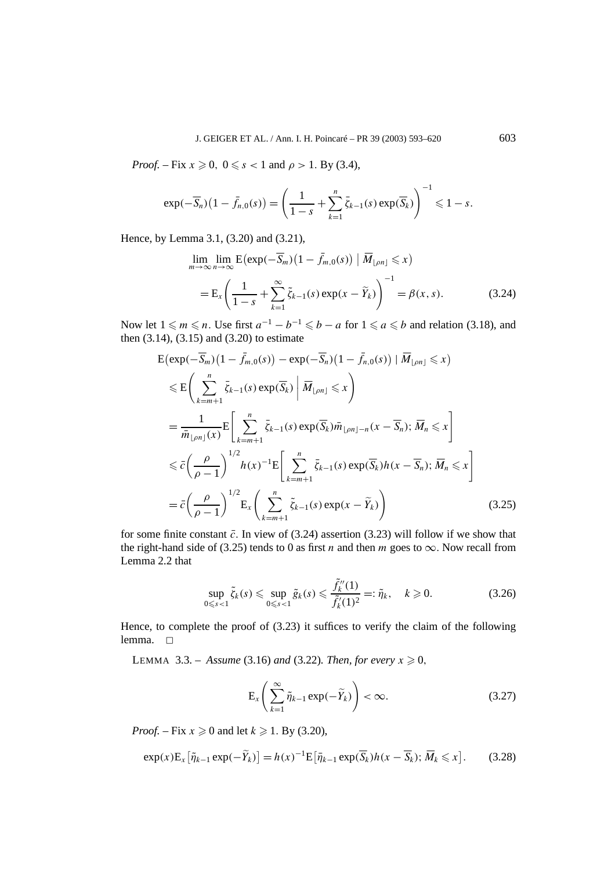*Proof.* – Fix  $x \ge 0$ ,  $0 \le s < 1$  and  $\rho > 1$ . By (3.4),

$$
\exp(-\overline{S}_n)(1-\overline{f}_{n,0}(s)) = \left(\frac{1}{1-s} + \sum_{k=1}^n \overline{\zeta}_{k-1}(s) \exp(\overline{S}_k)\right)^{-1} \leq 1-s.
$$

Hence, by Lemma 3.1, (3.20) and (3.21),

$$
\lim_{m \to \infty} \lim_{n \to \infty} E(\exp(-\overline{S}_m)(1 - \overline{f}_{m,0}(s)) | \overline{M}_{\lfloor \rho n \rfloor} \le x)
$$
  
= 
$$
E_x \left( \frac{1}{1 - s} + \sum_{k=1}^{\infty} \tilde{\zeta}_{k-1}(s) \exp(x - \widetilde{Y}_k) \right)^{-1} = \beta(x, s).
$$
 (3.24)

Now let  $1 \le m \le n$ . Use first  $a^{-1} - b^{-1} \le b - a$  for  $1 \le a \le b$  and relation (3.18), and then  $(3.14)$ ,  $(3.15)$  and  $(3.20)$  to estimate

$$
E(\exp(-\overline{S}_{m})(1-\overline{f}_{m,0}(s)) - \exp(-\overline{S}_{n})(1-\overline{f}_{n,0}(s)) | \overline{M}_{\lfloor \rho n \rfloor} \leq x)
$$
  
\n
$$
\leq E\left(\sum_{k=m+1}^{n} \overline{\zeta}_{k-1}(s) \exp(\overline{S}_{k}) | \overline{M}_{\lfloor \rho n \rfloor} \leq x\right)
$$
  
\n
$$
= \frac{1}{\overline{n}_{\lfloor \rho n \rfloor}(x)} E\left[\sum_{k=m+1}^{n} \overline{\zeta}_{k-1}(s) \exp(\overline{S}_{k}) \overline{n}_{\lfloor \rho n \rfloor - n}(x - \overline{S}_{n}); \overline{M}_{n} \leq x\right]
$$
  
\n
$$
\leq \overline{c}\left(\frac{\rho}{\rho - 1}\right)^{1/2} h(x)^{-1} E\left[\sum_{k=m+1}^{n} \overline{\zeta}_{k-1}(s) \exp(\overline{S}_{k}) h(x - \overline{S}_{n}); \overline{M}_{n} \leq x\right]
$$
  
\n
$$
= \overline{c}\left(\frac{\rho}{\rho - 1}\right)^{1/2} E_{x}\left(\sum_{k=m+1}^{n} \overline{\zeta}_{k-1}(s) \exp(x - \widetilde{Y}_{k})\right)
$$
(3.25)

for some finite constant  $\bar{c}$ . In view of (3.24) assertion (3.23) will follow if we show that the right-hand side of (3.25) tends to 0 as first *n* and then *m* goes to  $\infty$ . Now recall from Lemma 2.2 that

$$
\sup_{0 \le s < 1} \tilde{\zeta}_k(s) \le \sup_{0 \le s < 1} \tilde{g}_k(s) \le \frac{\tilde{f}_k''(1)}{\tilde{f}_k'(1)^2} =: \tilde{\eta}_k, \quad k \ge 0. \tag{3.26}
$$

Hence, to complete the proof of (3.23) it suffices to verify the claim of the following lemma.  $\square$ 

LEMMA 3.3. – Assume (3.16) and (3.22). Then, for every  $x \ge 0$ ,

$$
E_x \left( \sum_{k=1}^{\infty} \tilde{\eta}_{k-1} \exp(-\tilde{Y}_k) \right) < \infty. \tag{3.27}
$$

*Proof.* – Fix  $x \ge 0$  and let  $k \ge 1$ . By (3.20),

$$
\exp(x)\mathbf{E}_x\big[\tilde{\eta}_{k-1}\exp(-\tilde{Y}_k)\big] = h(x)^{-1}\mathbf{E}\big[\bar{\eta}_{k-1}\exp(\overline{S}_k)h(x-\overline{S}_k);\,\overline{M}_k\leq x\big].\tag{3.28}
$$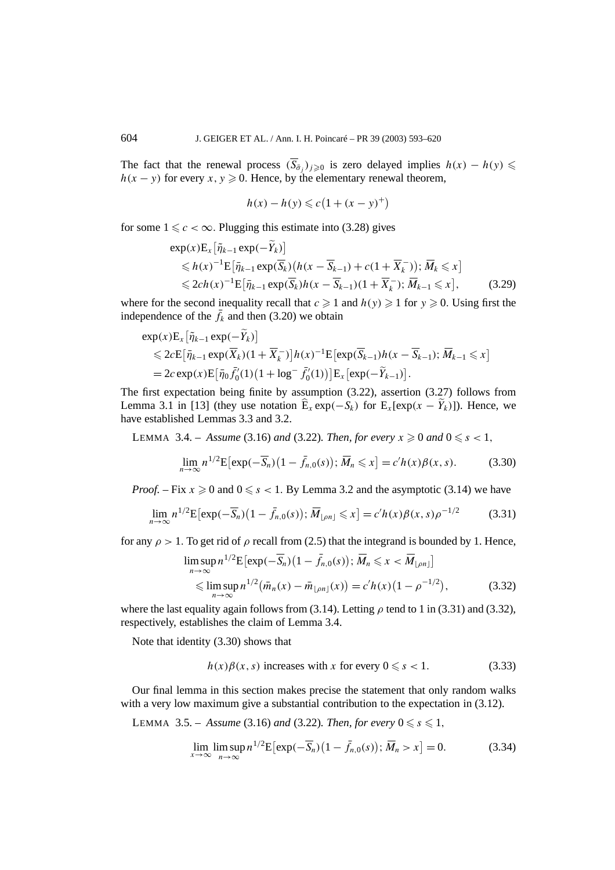The fact that the renewal process  $(\overline{S}_{\overline{\sigma}})_{i\geq0}$  is zero delayed implies  $h(x) - h(y) \leq$  $h(x - y)$  for every  $x, y \ge 0$ . Hence, by the elementary renewal theorem,

$$
h(x) - h(y) \leq c(1 + (x - y)^+)
$$

for some  $1 \leq c < \infty$ . Plugging this estimate into (3.28) gives

$$
\exp(x)\mathbf{E}_{x}\left[\tilde{\eta}_{k-1}\exp(-\tilde{Y}_{k})\right] \leq h(x)^{-1}\mathbf{E}\left[\bar{\eta}_{k-1}\exp(\overline{S}_{k})(h(x-\overline{S}_{k-1})+c(1+\overline{X}_{k}^{-}))\right];\overline{M}_{k}\leq x] \leq 2ch(x)^{-1}\mathbf{E}\left[\bar{\eta}_{k-1}\exp(\overline{S}_{k})h(x-\overline{S}_{k-1})(1+\overline{X}_{k}^{-})\right];\overline{M}_{k-1}\leq x\right],
$$
(3.29)

where for the second inequality recall that  $c \geq 1$  and  $h(y) \geq 1$  for  $y \geq 0$ . Using first the independence of the  $\bar{f}_k$  and then (3.20) we obtain

$$
\exp(x)\mathbf{E}_{x}\left[\tilde{\eta}_{k-1}\exp(-\tilde{Y}_{k})\right] \leq 2c\mathbf{E}\left[\bar{\eta}_{k-1}\exp(\overline{X}_{k})(1+\overline{X}_{k}^{-})\right]h(x)^{-1}\mathbf{E}\left[\exp(\overline{S}_{k-1})h(x-\overline{S}_{k-1});\,\overline{M}_{k-1}\leq x\right] = 2c\exp(x)\mathbf{E}\left[\bar{\eta}_{0}\bar{f}_{0}'(1)(1+\log^{-}f_{0}'(1))\right]\mathbf{E}_{x}\left[\exp(-\widetilde{Y}_{k-1})\right].
$$

The first expectation being finite by assumption (3.22), assertion (3.27) follows from Lemma 3.1 in [13] (they use notation  $\hat{E}_x \exp(-S_k)$  for  $E_x[\exp(x - Y_k)]$ ). Hence, we have established Lemmas 3.3 and 3.2.

LEMMA 3.4. – Assume (3.16) and (3.22). Then, for every  $x \ge 0$  and  $0 \le s < 1$ ,

$$
\lim_{n \to \infty} n^{1/2} \mathbf{E} \left[ \exp(-\overline{S}_n) \left( 1 - \overline{f}_{n,0}(s) \right); \overline{M}_n \leq x \right] = c'h(x)\beta(x,s). \tag{3.30}
$$

*Proof.* – Fix  $x \ge 0$  and  $0 \le s < 1$ . By Lemma 3.2 and the asymptotic (3.14) we have

$$
\lim_{n \to \infty} n^{1/2} \mathbb{E} \left[ \exp(-\overline{S}_n) \left( 1 - \bar{f}_{n,0}(s) \right); \, \overline{M}_{\lfloor \rho n \rfloor} \leq x \right] = c' h(x) \beta(x, s) \rho^{-1/2}
$$
 (3.31)

for any  $\rho > 1$ . To get rid of  $\rho$  recall from (2.5) that the integrand is bounded by 1. Hence,

$$
\limsup_{n \to \infty} n^{1/2} \mathbf{E} \left[ \exp(-\overline{S}_n) \left( 1 - \overline{f}_{n,0}(s) \right); \overline{M}_n \leq x < \overline{M}_{\lfloor \rho n \rfloor} \right] \leq \limsup_{n \to \infty} n^{1/2} \left( \overline{m}_n(x) - \overline{m}_{\lfloor \rho n \rfloor}(x) \right) = c'h(x) \left( 1 - \rho^{-1/2} \right),\tag{3.32}
$$

where the last equality again follows from (3.14). Letting  $\rho$  tend to 1 in (3.31) and (3.32), respectively, establishes the claim of Lemma 3.4.

Note that identity (3.30) shows that

$$
h(x)\beta(x, s) \text{ increases with } x \text{ for every } 0 \leq s < 1. \tag{3.33}
$$

Our final lemma in this section makes precise the statement that only random walks with a very low maximum give a substantial contribution to the expectation in  $(3.12)$ .

**LEMMA** 3.5. – *Assume* (3.16) *and* (3.22)*. Then, for every*  $0 \le s \le 1$ *,* 

$$
\lim_{x \to \infty} \limsup_{n \to \infty} n^{1/2} \mathbb{E} \left[ \exp(-\overline{S}_n) \left(1 - \overline{f}_{n,0}(s)\right); \overline{M}_n > x \right] = 0. \tag{3.34}
$$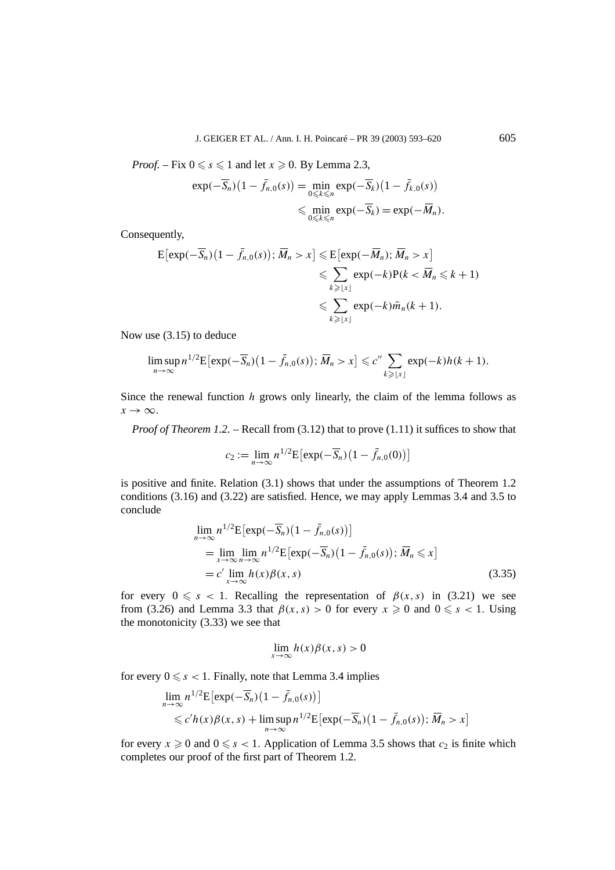*Proof.* – Fix  $0 \le s \le 1$  and let  $x \ge 0$ . By Lemma 2.3,

$$
\exp(-\overline{S}_n)(1-\overline{f}_{n,0}(s)) = \min_{0 \le k \le n} \exp(-\overline{S}_k)(1-\overline{f}_{k,0}(s))
$$
  
\$\le \min\_{0 \le k \le n} \exp(-\overline{S}\_k) = \exp(-\overline{M}\_n).

Consequently,

$$
\begin{aligned} \mathcal{E}[\exp(-\overline{S}_n)(1-\overline{f}_{n,0}(s)); \overline{M}_n > x] &\leq \mathcal{E}[\exp(-\overline{M}_n); \overline{M}_n > x] \\ &\leq \sum_{k \geq |x|} \exp(-k) \mathcal{P}(k < \overline{M}_n \leq k+1) \\ &\leq \sum_{k \geq |x|} \exp(-k) \overline{m}_n(k+1). \end{aligned}
$$

Now use (3.15) to deduce

$$
\limsup_{n\to\infty} n^{1/2} \mathbb{E} \big[ \exp(-\overline{S}_n) \big(1-\overline{f}_{n,0}(s)\big); \, \overline{M}_n > x \big] \leqslant c'' \sum_{k \geqslant \lfloor x \rfloor} \exp(-k) h(k+1).
$$

Since the renewal function *h* grows only linearly, the claim of the lemma follows as  $x \rightarrow \infty$ .

*Proof of Theorem 1.2.* – Recall from (3.12) that to prove (1.11) it suffices to show that

$$
c_2 := \lim_{n \to \infty} n^{1/2} \mathbb{E} \left[ \exp(-\overline{S}_n) \left( 1 - \overline{f}_{n,0}(0) \right) \right]
$$

is positive and finite. Relation (3.1) shows that under the assumptions of Theorem 1.2 conditions (3.16) and (3.22) are satisfied. Hence, we may apply Lemmas 3.4 and 3.5 to conclude

$$
\lim_{n \to \infty} n^{1/2} \mathbf{E} \left[ \exp(-\overline{S}_n) \left( 1 - \overline{f}_{n,0}(s) \right) \right]
$$
\n
$$
= \lim_{x \to \infty} \lim_{n \to \infty} n^{1/2} \mathbf{E} \left[ \exp(-\overline{S}_n) \left( 1 - \overline{f}_{n,0}(s) \right) ; \overline{M}_n \leq x \right]
$$
\n
$$
= c' \lim_{x \to \infty} h(x) \beta(x, s) \tag{3.35}
$$

for every  $0 \le s < 1$ . Recalling the representation of  $\beta(x, s)$  in (3.21) we see from (3.26) and Lemma 3.3 that  $\beta(x, s) > 0$  for every  $x \ge 0$  and  $0 \le s < 1$ . Using the monotonicity (3.33) we see that

$$
\lim_{x \to \infty} h(x)\beta(x, s) > 0
$$

for every  $0 \le s < 1$ . Finally, note that Lemma 3.4 implies

$$
\lim_{n \to \infty} n^{1/2} \mathbf{E} \left[ \exp(-\overline{S}_n) \left( 1 - \overline{f}_{n,0}(s) \right) \right]
$$
  
\$\leq c'h(x)\beta(x, s) + \limsup\_{n \to \infty} n^{1/2} \mathbf{E} \left[ \exp(-\overline{S}\_n) \left( 1 - \overline{f}\_{n,0}(s) \right); \overline{M}\_n > x \right]

for every  $x \ge 0$  and  $0 \le s < 1$ . Application of Lemma 3.5 shows that  $c_2$  is finite which completes our proof of the first part of Theorem 1.2.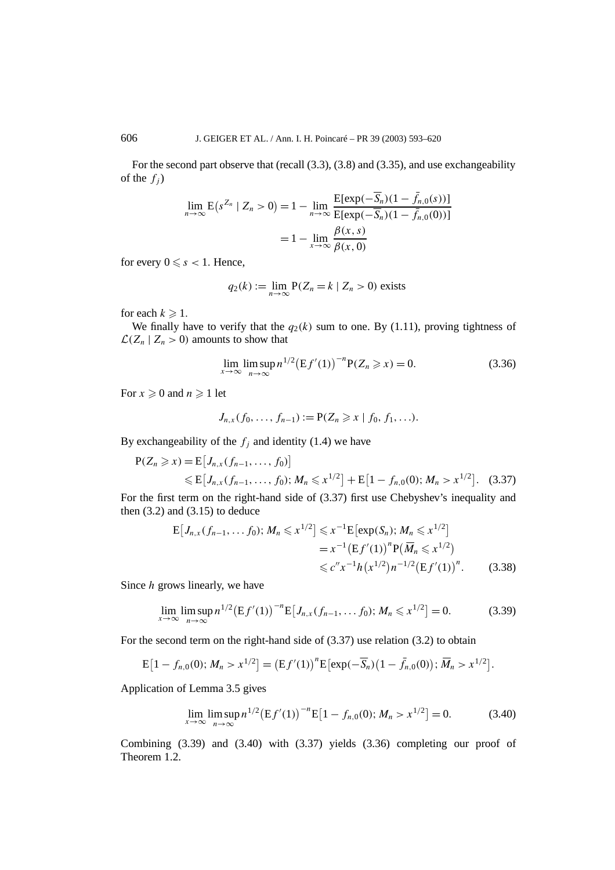For the second part observe that (recall (3.3), (3.8) and (3.35), and use exchangeability of the  $f_i$ )

$$
\lim_{n \to \infty} E(s^{Z_n} | Z_n > 0) = 1 - \lim_{n \to \infty} \frac{E[\exp(-\overline{S}_n)(1 - \overline{f}_{n,0}(s))]}{E[\exp(-\overline{S}_n)(1 - \overline{f}_{n,0}(0))]}
$$
  
= 1 -  $\lim_{x \to \infty} \frac{\beta(x, s)}{\beta(x, 0)}$ 

for every  $0 \leq s < 1$ . Hence,

$$
q_2(k) := \lim_{n \to \infty} P(Z_n = k \mid Z_n > 0)
$$
 exists

for each  $k \geqslant 1$ .

We finally have to verify that the  $q_2(k)$  sum to one. By (1.11), proving tightness of  $\mathcal{L}(Z_n | Z_n > 0)$  amounts to show that

$$
\lim_{x \to \infty} \lim_{n \to \infty} \sup n^{1/2} (Ef'(1))^{-n} P(Z_n \ge x) = 0.
$$
 (3.36)

For  $x \geqslant 0$  and  $n \geqslant 1$  let

$$
J_{n,x}(f_0,\ldots,f_{n-1}):=P(Z_n\geq x\mid f_0,f_1,\ldots).
$$

By exchangeability of the  $f_i$  and identity (1.4) we have

$$
P(Z_n \ge x) = E[J_{n,x}(f_{n-1},..., f_0)]
$$
  
\$\le E[J\_{n,x}(f\_{n-1},..., f\_0); M\_n \le x^{1/2}] + E[1 - f\_{n,0}(0); M\_n > x^{1/2}]. (3.37)

For the first term on the right-hand side of (3.37) first use Chebyshev's inequality and then  $(3.2)$  and  $(3.15)$  to deduce

$$
E[J_{n,x}(f_{n-1},...,f_0); M_n \leq x^{1/2}] \leq x^{-1} E[\exp(S_n); M_n \leq x^{1/2}]
$$
  
=  $x^{-1} (Ef'(1))^n P(\overline{M}_n \leq x^{1/2})$   
 $\leq c'' x^{-1} h(x^{1/2}) n^{-1/2} (Ef'(1))^n.$  (3.38)

Since *h* grows linearly, we have

$$
\lim_{x \to \infty} \limsup_{n \to \infty} n^{1/2} (Ef'(1))^{-n} E[J_{n,x}(f_{n-1}, \dots f_0); M_n \leq x^{1/2}] = 0.
$$
 (3.39)

For the second term on the right-hand side of (3.37) use relation (3.2) to obtain

$$
E[1 - f_{n,0}(0); M_n > x^{1/2}] = (Ef'(1))^n E[exp(-\overline{S}_n)(1 - \overline{f}_{n,0}(0)); \overline{M}_n > x^{1/2}].
$$

Application of Lemma 3.5 gives

$$
\lim_{x \to \infty} \limsup_{n \to \infty} n^{1/2} (Ef'(1))^{-n} E[1 - f_{n,0}(0); M_n > x^{1/2}] = 0.
$$
 (3.40)

Combining (3.39) and (3.40) with (3.37) yields (3.36) completing our proof of Theorem 1.2.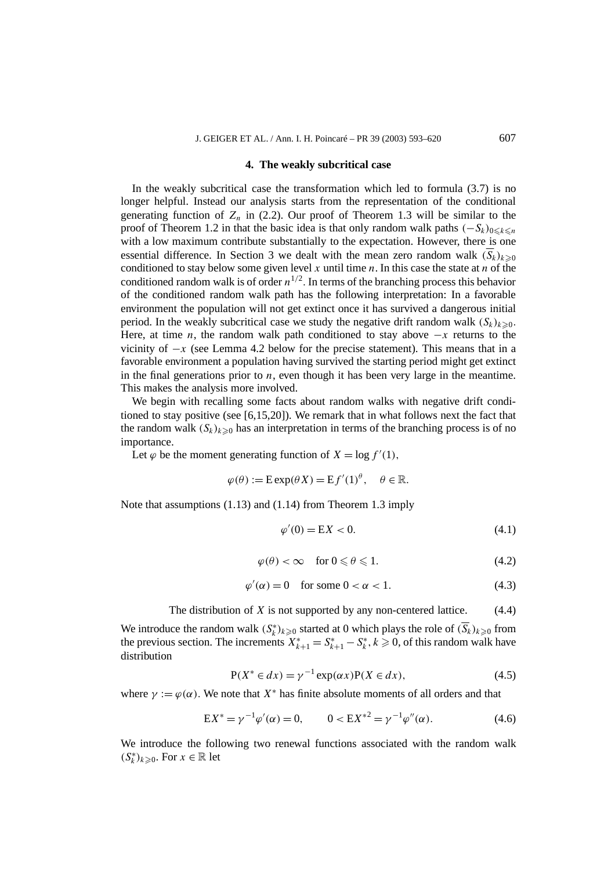#### **4. The weakly subcritical case**

In the weakly subcritical case the transformation which led to formula (3.7) is no longer helpful. Instead our analysis starts from the representation of the conditional generating function of  $Z_n$  in (2.2). Our proof of Theorem 1.3 will be similar to the proof of Theorem 1.2 in that the basic idea is that only random walk paths  $(-S_k)_{0 \leq k \leq n}$ with a low maximum contribute substantially to the expectation. However, there is one essential difference. In Section 3 we dealt with the mean zero random walk  $(\overline{S}_k)_{k\geq0}$ conditioned to stay below some given level  $x$  until time  $n$ . In this case the state at  $n$  of the conditioned random walk is of order  $n^{1/2}$ . In terms of the branching process this behavior of the conditioned random walk path has the following interpretation: In a favorable environment the population will not get extinct once it has survived a dangerous initial period. In the weakly subcritical case we study the negative drift random walk  $(S_k)_{k\geq 0}$ . Here, at time *n*, the random walk path conditioned to stay above  $-x$  returns to the vicinity of  $-x$  (see Lemma 4.2 below for the precise statement). This means that in a favorable environment a population having survived the starting period might get extinct in the final generations prior to *n*, even though it has been very large in the meantime. This makes the analysis more involved.

We begin with recalling some facts about random walks with negative drift conditioned to stay positive (see [6,15,20]). We remark that in what follows next the fact that the random walk  $(S_k)_{k\geq0}$  has an interpretation in terms of the branching process is of no importance.

Let  $\varphi$  be the moment generating function of  $X = \log f'(1)$ ,

$$
\varphi(\theta) := \text{Exp}(\theta X) = \text{E} f'(1)^{\theta}, \quad \theta \in \mathbb{R}.
$$

Note that assumptions (1.13) and (1.14) from Theorem 1.3 imply

$$
\varphi'(0) = \mathbf{E}X < 0. \tag{4.1}
$$

$$
\varphi(\theta) < \infty \quad \text{for } 0 \leq \theta \leq 1. \tag{4.2}
$$

$$
\varphi'(\alpha) = 0 \quad \text{for some } 0 < \alpha < 1. \tag{4.3}
$$

The distribution of *X* is not supported by any non-centered lattice. (4.4)

We introduce the random walk  $(S_k^*)_{k \geq 0}$  started at 0 which plays the role of  $(\overline{S_k})_{k \geq 0}$  from the previous section. The increments  $X_{k+1}^* = S_{k+1}^* - S_k^*$ ,  $k \ge 0$ , of this random walk have distribution

$$
P(X^* \in dx) = \gamma^{-1} \exp(\alpha x) P(X \in dx), \tag{4.5}
$$

where  $\gamma := \varphi(\alpha)$ . We note that  $X^*$  has finite absolute moments of all orders and that

$$
EX^* = \gamma^{-1} \varphi'(\alpha) = 0, \qquad 0 < EX^{*2} = \gamma^{-1} \varphi''(\alpha). \tag{4.6}
$$

We introduce the following two renewal functions associated with the random walk  $(S_k^*)_{k≥0}$ . For *x* ∈ ℝ let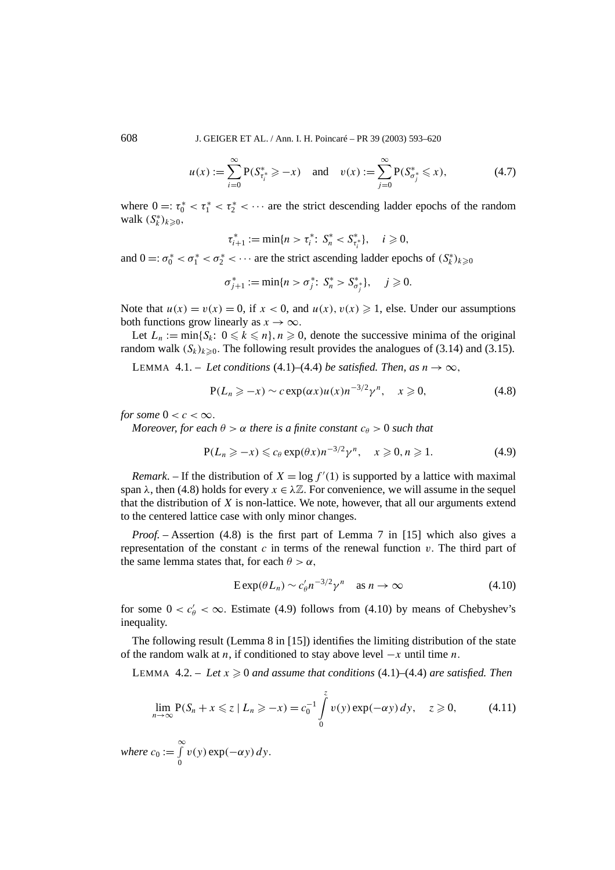608 J. GEIGER ET AL. / Ann. I. H. Poincaré – PR 39 (2003) 593–620

$$
u(x) := \sum_{i=0}^{\infty} P(S_{\tau_i^*}^* \ge -x) \quad \text{and} \quad v(x) := \sum_{j=0}^{\infty} P(S_{\sigma_j^*}^* \le x), \tag{4.7}
$$

where  $0 =: \tau_0^* < \tau_1^* < \tau_2^* < \cdots$  are the strict descending ladder epochs of the random walk  $(S_k^*)_{k \geqslant 0}$ ,

$$
\tau_{i+1}^* := \min\{n > \tau_i^* \colon S_n^* < S_{\tau_i^*}^*\}, \quad i \geq 0,
$$

and  $0 =: \sigma_0^* < \sigma_1^* < \sigma_2^* < \cdots$  are the strict ascending ladder epochs of  $(S_k^*)_{k \geq 0}$ 

$$
\sigma_{j+1}^* := \min\{n > \sigma_j^* \colon S_n^* > S_{\sigma_j^*}^*\}, \quad j \geq 0.
$$

Note that  $u(x) = v(x) = 0$ , if  $x < 0$ , and  $u(x)$ ,  $v(x) \ge 1$ , else. Under our assumptions both functions grow linearly as  $x \to \infty$ .

Let  $L_n := \min\{S_k: 0 \leq k \leq n\}, n \geq 0$ , denote the successive minima of the original random walk  $(S_k)_{k\geq 0}$ . The following result provides the analogues of (3.14) and (3.15).

LEMMA 4.1. – Let conditions (4.1)–(4.4) be satisfied. Then, as  $n \to \infty$ ,

$$
P(L_n \ge -x) \sim c \exp(\alpha x) u(x) n^{-3/2} \gamma^n, \quad x \ge 0,
$$
\n(4.8)

*for some*  $0 < c < \infty$ *.* 

*Moreover, for each*  $\theta > \alpha$  *there is a finite constant*  $c_{\theta} > 0$  *such that* 

$$
P(L_n \ge -x) \le c_\theta \exp(\theta x) n^{-3/2} \gamma^n, \quad x \ge 0, n \ge 1. \tag{4.9}
$$

*Remark*. – If the distribution of  $X = \log f'(1)$  is supported by a lattice with maximal span  $\lambda$ , then (4.8) holds for every  $x \in \lambda \mathbb{Z}$ . For convenience, we will assume in the sequel that the distribution of *X* is non-lattice. We note, however, that all our arguments extend to the centered lattice case with only minor changes.

*Proof. –* Assertion (4.8) is the first part of Lemma 7 in [15] which also gives a representation of the constant  $c$  in terms of the renewal function  $v$ . The third part of the same lemma states that, for each  $\theta > \alpha$ ,

$$
E \exp(\theta L_n) \sim c'_{\theta} n^{-3/2} \gamma^n \quad \text{as } n \to \infty \tag{4.10}
$$

for some  $0 < c'_{\theta} < \infty$ . Estimate (4.9) follows from (4.10) by means of Chebyshev's inequality.

The following result (Lemma 8 in [15]) identifies the limiting distribution of the state of the random walk at *n*, if conditioned to stay above level −*x* until time *n.*

LEMMA  $4.2. - Let x \ge 0$  and assume that conditions  $(4.1)$ – $(4.4)$  are satisfied. Then

$$
\lim_{n \to \infty} P(S_n + x \leq z \mid L_n \geq -x) = c_0^{-1} \int_0^z v(y) \exp(-\alpha y) dy, \quad z \geq 0,
$$
 (4.11)

where 
$$
c_0 := \int_{0}^{\infty} v(y) \exp(-\alpha y) dy
$$
.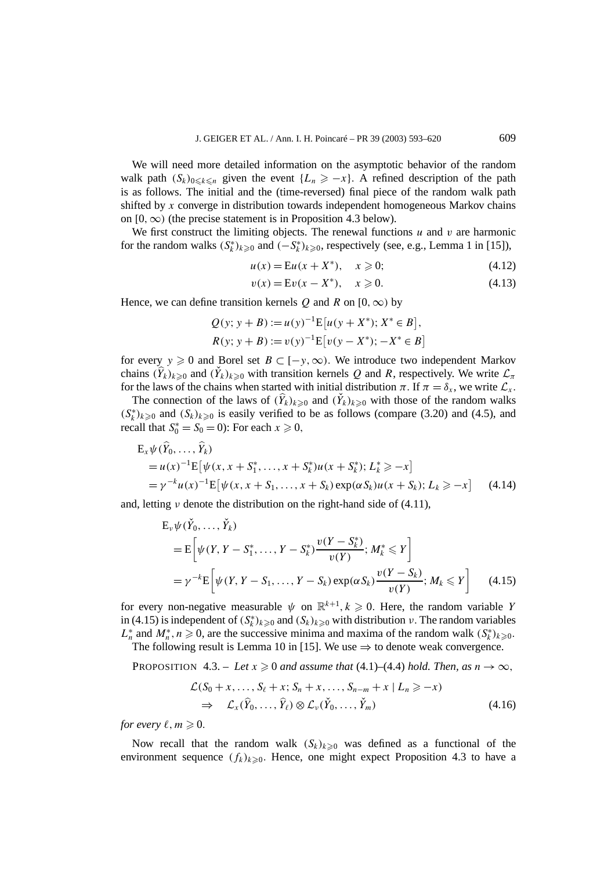We will need more detailed information on the asymptotic behavior of the random walk path  $(S_k)_{0 \leq k \leq n}$  given the event  $\{L_n \geq -x\}$ . A refined description of the path is as follows. The initial and the (time-reversed) final piece of the random walk path shifted by *x* converge in distribution towards independent homogeneous Markov chains on  $[0, \infty)$  (the precise statement is in Proposition 4.3 below).

We first construct the limiting objects. The renewal functions  $u$  and  $v$  are harmonic for the random walks  $(S_k^*)_{k \geq 0}$  and  $(-S_k^*)_{k \geq 0}$ , respectively (see, e.g., Lemma 1 in [15]),

$$
u(x) = Eu(x + X^*), \quad x \ge 0;
$$
 (4.12)

$$
v(x) = Ev(x - X^*), \quad x \ge 0.
$$
 (4.13)

Hence, we can define transition kernels  $Q$  and  $R$  on  $[0, \infty)$  by

$$
Q(y; y + B) := u(y)^{-1} E[u(y + X^*); X^* \in B],
$$
  
\n
$$
R(y; y + B) := v(y)^{-1} E[v(y - X^*); -X^* \in B]
$$

for every  $y \ge 0$  and Borel set  $B \subset [-y, \infty)$ . We introduce two independent Markov chains  $(\hat{Y}_k)_{k\geq0}$  and  $(\check{Y}_k)_{k\geq0}$  with transition kernels *Q* and *R*, respectively. We write  $\mathcal{L}_\pi$ for the laws of the chains when started with initial distribution  $\pi$ . If  $\pi = \delta_x$ , we write  $\mathcal{L}_x$ .

The connection of the laws of  $(\hat{Y}_k)_{k\geqslant0}$  and  $(\check{Y}_k)_{k\geqslant0}$  with those of the random walks  $(S_k^*)_{k \geq 0}$  and  $(S_k)_{k \geq 0}$  is easily verified to be as follows (compare (3.20) and (4.5), and recall that  $S_0^* = S_0 = 0$ : For each  $x \ge 0$ ,

$$
E_x \psi(\hat{Y}_0, ..., \hat{Y}_k)
$$
  
=  $u(x)^{-1} E[\psi(x, x + S_1^*, ..., x + S_k^*)u(x + S_k^*); L_k^* \ge -x]$   
=  $\gamma^{-k} u(x)^{-1} E[\psi(x, x + S_1, ..., x + S_k) \exp(\alpha S_k)u(x + S_k); L_k \ge -x]$  (4.14)

and, letting *ν* denote the distribution on the right-hand side of (4.11),

$$
E_{\nu}\psi(\check{Y}_0,\ldots,\check{Y}_k)
$$
  
=  $E\left[\psi(Y,Y-S_1^*,\ldots,Y-S_k^*)\frac{\nu(Y-S_k^*)}{\nu(Y)};M_k^*\leq Y\right]$   
=  $\gamma^{-k}E\left[\psi(Y,Y-S_1,\ldots,Y-S_k)\exp(\alpha S_k)\frac{\nu(Y-S_k)}{\nu(Y)};M_k\leq Y\right]$  (4.15)

for every non-negative measurable  $\psi$  on  $\mathbb{R}^{k+1}$ ,  $k \geq 0$ . Here, the random variable *Y* in (4.15) is independent of  $(S_k^*)_{k\geqslant0}$  and  $(S_k)_{k\geqslant0}$  with distribution *v*. The random variables  $L_n^*$  and  $M_n^*$ ,  $n \ge 0$ , are the successive minima and maxima of the random walk  $(S_k^*)_{k \ge 0}$ .

The following result is Lemma 10 in [15]. We use  $\Rightarrow$  to denote weak convergence.

PROPOSITION 4.3. – Let  $x \ge 0$  and assume that (4.1)–(4.4) hold. Then, as  $n \to \infty$ ,

$$
\mathcal{L}(S_0 + x, \dots, S_\ell + x; S_n + x, \dots, S_{n-m} + x \mid L_n \ge -x)
$$
\n
$$
\Rightarrow \mathcal{L}_x(\hat{Y}_0, \dots, \hat{Y}_\ell) \otimes \mathcal{L}_v(\check{Y}_0, \dots, \check{Y}_m) \tag{4.16}
$$

*for every*  $\ell, m \geqslant 0$ .

Now recall that the random walk  $(S_k)_{k\geq 0}$  was defined as a functional of the environment sequence  $(f_k)_{k\geqslant0}$ . Hence, one might expect Proposition 4.3 to have a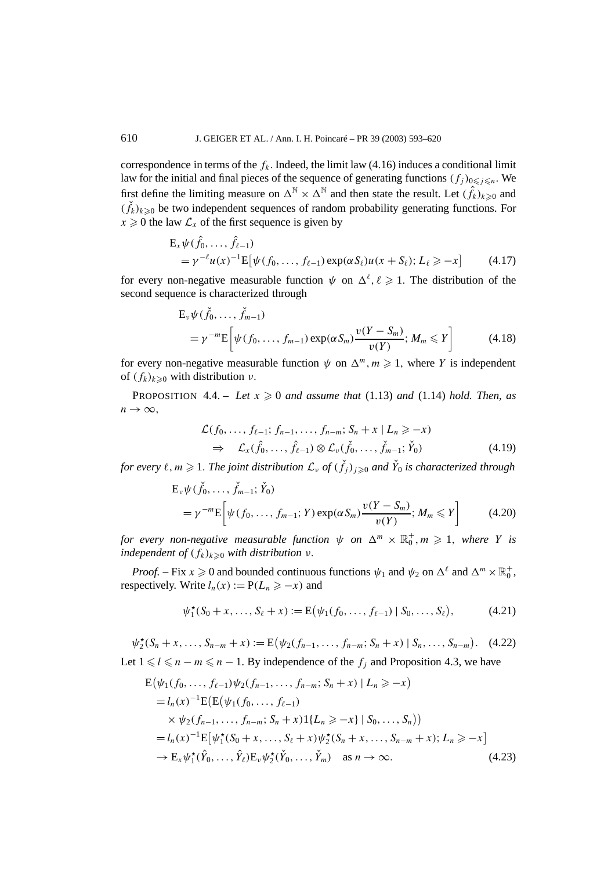correspondence in terms of the  $f_k$ . Indeed, the limit law  $(4.16)$  induces a conditional limit law for the initial and final pieces of the sequence of generating functions  $(f_j)_{0 \leq j \leq n}$ . We first define the limiting measure on  $\Delta^N \times \Delta^N$  and then state the result. Let  $(\hat{f}_k)_{k \geqslant 0}$  and  $(\check{f}_k)_{k\geqslant0}$  be two independent sequences of random probability generating functions. For  $x \geq 0$  the law  $\mathcal{L}_x$  of the first sequence is given by

$$
E_x \psi(\hat{f}_0, ..., \hat{f}_{\ell-1})
$$
  
=  $\gamma^{-\ell} u(x)^{-1} E[\psi(f_0, ..., f_{\ell-1}) \exp(\alpha S_\ell) u(x + S_\ell); L_\ell \ge -x]$  (4.17)

for every non-negative measurable function  $\psi$  on  $\Delta^{\ell}, \ell \geq 1$ . The distribution of the second sequence is characterized through

$$
E_v \psi(\check{f}_0, \dots, \check{f}_{m-1})
$$
  
=  $\gamma^{-m} E \Big[ \psi(f_0, \dots, f_{m-1}) \exp(\alpha S_m) \frac{v(Y - S_m)}{v(Y)}; M_m \le Y \Big]$  (4.18)

for every non-negative measurable function  $\psi$  on  $\Delta^m$ ,  $m \geq 1$ , where *Y* is independent of  $(f_k)_{k\geq0}$  with distribution *ν*.

PROPOSITION  $4.4. - Let x \geq 0$  *and assume that*  $(1.13)$  *and*  $(1.14)$  *hold. Then, as*  $n \rightarrow \infty$ ,

$$
\mathcal{L}(f_0, \ldots, f_{\ell-1}; f_{n-1}, \ldots, f_{n-m}; S_n + x | L_n \geq -x)
$$
\n
$$
\Rightarrow \mathcal{L}_x(\hat{f}_0, \ldots, \hat{f}_{\ell-1}) \otimes \mathcal{L}_v(\check{f}_0, \ldots, \check{f}_{m-1}; \check{Y}_0)
$$
\n(4.19)

*for every*  $\ell, m \geqslant 1$ . The joint distribution  $\mathcal{L}_v$  of  $(\check{f}_j)_{j \geqslant 0}$  and  $\check{Y}_0$  is characterized through

$$
E_v \psi(\check{f}_0, \dots, \check{f}_{m-1}; \check{Y}_0)
$$
  
=  $\gamma^{-m} E \Big[ \psi(f_0, \dots, f_{m-1}; Y) \exp(\alpha S_m) \frac{v(Y - S_m)}{v(Y)}; M_m \le Y \Big]$  (4.20)

*for every non-negative measurable function*  $\psi$  *<i>on*  $\Delta^{m} \times \mathbb{R}_{0}^{+}$ ,  $m \geqslant 1$ , where Y is *independent of*  $(f_k)_{k\geq0}$  *with distribution*  $\nu$ *.* 

*Proof.* – Fix  $x \ge 0$  and bounded continuous functions  $\psi_1$  and  $\psi_2$  on  $\Delta^{\ell}$  and  $\Delta^m \times \mathbb{R}_0^+$ , respectively. Write  $l_n(x) := P(L_n \ge -x)$  and

$$
\psi_1^{\star}(S_0 + x, \dots, S_{\ell} + x) := \mathbb{E}(\psi_1(f_0, \dots, f_{\ell-1}) \mid S_0, \dots, S_{\ell}), \tag{4.21}
$$

$$
\psi_2^{\star}(S_n + x, \dots, S_{n-m} + x) := \mathbb{E}(\psi_2(f_{n-1}, \dots, f_{n-m}; S_n + x) | S_n, \dots, S_{n-m}). \tag{4.22}
$$
  
Let  $1 \le l \le n - m \le n - 1$ . By independence of the  $f_j$  and Proposition 4.3, we have

$$
E(\psi_1(f_0, ..., f_{\ell-1})\psi_2(f_{n-1}, ..., f_{n-m}; S_n + x) | L_n \ge -x)
$$
  
=  $l_n(x)^{-1}E(E(\psi_1(f_0, ..., f_{\ell-1}))$   
 $\times \psi_2(f_{n-1}, ..., f_{n-m}; S_n + x)1\{L_n \ge -x\} | S_0, ..., S_n)$ )  
=  $l_n(x)^{-1}E[\psi_1^*(S_0 + x, ..., S_\ell + x)\psi_2^*(S_n + x, ..., S_{n-m} + x); L_n \ge -x]$   
 $\to E_x \psi_1^*(\hat{Y}_0, ..., \hat{Y}_\ell)E_v \psi_2^*(\check{Y}_0, ..., \check{Y}_m)$  as  $n \to \infty$ . (4.23)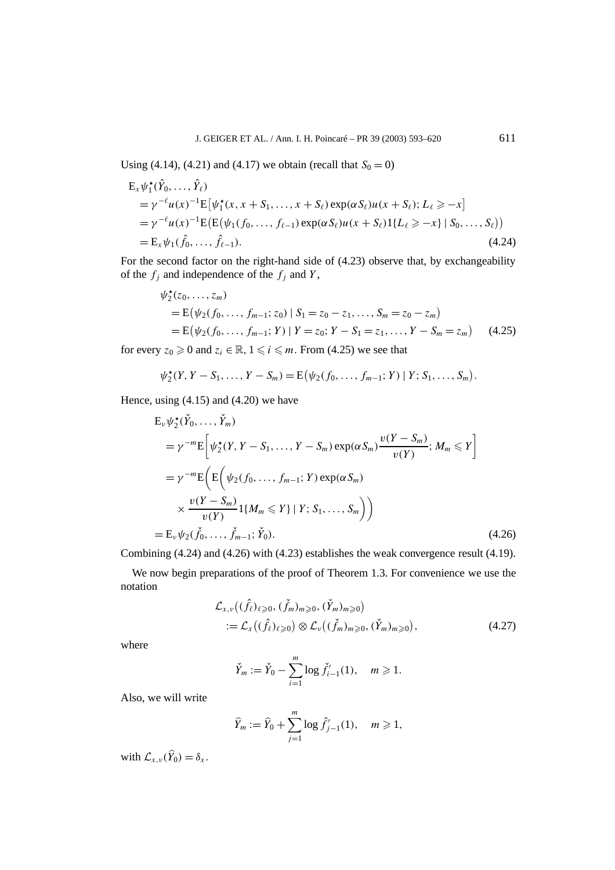Using (4.14), (4.21) and (4.17) we obtain (recall that  $S_0 = 0$ )

$$
E_x \psi_1^{\star}(\hat{Y}_0, ..., \hat{Y}_\ell)
$$
  
=  $\gamma^{-\ell} u(x)^{-1} E[\psi_1^{\star}(x, x + S_1, ..., x + S_\ell) \exp(\alpha S_\ell) u(x + S_\ell); L_\ell \ge -x]$   
=  $\gamma^{-\ell} u(x)^{-1} E(E(\psi_1(f_0, ..., f_{\ell-1}) \exp(\alpha S_\ell) u(x + S_\ell) 1\{L_\ell \ge -x\} | S_0, ..., S_\ell))$   
=  $E_x \psi_1(\hat{f}_0, ..., \hat{f}_{\ell-1}).$  (4.24)

For the second factor on the right-hand side of (4.23) observe that, by exchangeability of the  $f_j$  and independence of the  $f_j$  and  $Y$ ,

$$
\psi_2^{\star}(z_0, ..., z_m)
$$
  
= E(\psi\_2(f\_0, ..., f\_{m-1}; z\_0) | S\_1 = z\_0 - z\_1, ..., S\_m = z\_0 - z\_m)  
= E(\psi\_2(f\_0, ..., f\_{m-1}; Y) | Y = z\_0; Y - S\_1 = z\_1, ..., Y - S\_m = z\_m) (4.25)

for every  $z_0 \ge 0$  and  $z_i \in \mathbb{R}$ ,  $1 \le i \le m$ . From (4.25) we see that

$$
\psi_2^{\star}(Y, Y - S_1, \ldots, Y - S_m) = E(\psi_2(f_0, \ldots, f_{m-1}; Y) | Y; S_1, \ldots, S_m)
$$

Hence, using  $(4.15)$  and  $(4.20)$  we have

$$
E_{\nu}\psi_{2}^{*}(\check{Y}_{0},..., \check{Y}_{m})
$$
\n
$$
= \gamma^{-m}E\bigg[\psi_{2}^{*}(Y, Y - S_{1},..., Y - S_{m})\exp(\alpha S_{m})\frac{\nu(Y - S_{m})}{\nu(Y)}; M_{m} \leq Y\bigg]
$$
\n
$$
= \gamma^{-m}E\bigg(E\bigg(\psi_{2}(f_{0},..., f_{m-1}; Y)\exp(\alpha S_{m})\bigg)
$$
\n
$$
\times \frac{\nu(Y - S_{m})}{\nu(Y)}1\{M_{m} \leq Y\} | Y; S_{1},..., S_{m}\bigg)\bigg)
$$
\n
$$
= E_{\nu}\psi_{2}(\check{f}_{0},..., \check{f}_{m-1}; \check{Y}_{0}). \tag{4.26}
$$

Combining (4.24) and (4.26) with (4.23) establishes the weak convergence result (4.19).

We now begin preparations of the proof of Theorem 1.3. For convenience we use the notation

$$
\mathcal{L}_{x,\nu}((\hat{f}_{\ell})_{\ell \geqslant 0}, (\check{f}_{m})_{m \geqslant 0}, (\check{Y}_{m})_{m \geqslant 0})
$$
\n
$$
:= \mathcal{L}_{x}((\hat{f}_{\ell})_{\ell \geqslant 0}) \otimes \mathcal{L}_{\nu}((\check{f}_{m})_{m \geqslant 0}, (\check{Y}_{m})_{m \geqslant 0}), \tag{4.27}
$$

where

$$
\check{Y}_m := \check{Y}_0 - \sum_{i=1}^m \log \check{f}'_{i-1}(1), \quad m \geq 1.
$$

Also, we will write

$$
\widehat{Y}_m := \widehat{Y}_0 + \sum_{j=1}^m \log \widehat{f}'_{j-1}(1), \quad m \geq 1,
$$

with  $\mathcal{L}_{x,\nu}(\hat{Y}_0) = \delta_x$ .

*.*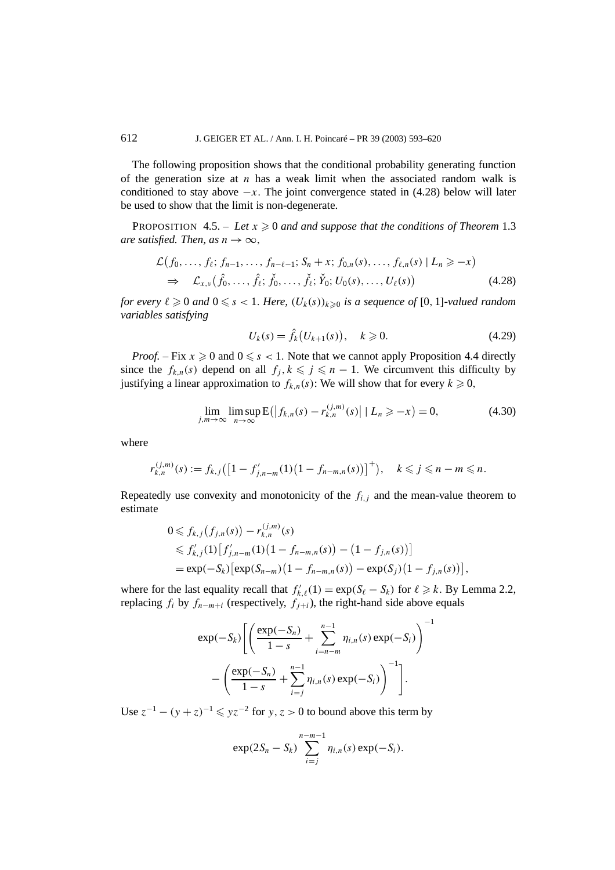The following proposition shows that the conditional probability generating function of the generation size at  $n$  has a weak limit when the associated random walk is conditioned to stay above  $-x$ . The joint convergence stated in  $(4.28)$  below will later be used to show that the limit is non-degenerate.

PROPOSITION  $4.5. - Let x \geq 0$  and and suppose that the conditions of Theorem 1.3 *are satisfied. Then, as*  $n \rightarrow \infty$ *,* 

$$
\mathcal{L}(f_0, ..., f_\ell; f_{n-1}, ..., f_{n-\ell-1}; S_n + x; f_{0,n}(s), ..., f_{\ell,n}(s) | L_n \geq -x) \n\Rightarrow \mathcal{L}_{x,\nu}(\hat{f}_0, ..., \hat{f}_\ell; \check{f}_0, ..., \check{f}_\ell; \check{Y}_0; U_0(s), ..., U_\ell(s))
$$
\n(4.28)

*for every*  $\ell \geqslant 0$  and  $0 \leqslant s < 1$ . Here,  $(U_k(s))_{k \geqslant 0}$  is a sequence of [0, 1]-valued random *variables satisfying*

$$
U_k(s) = \hat{f}_k(U_{k+1}(s)), \quad k \ge 0.
$$
 (4.29)

*Proof.* – Fix  $x \ge 0$  and  $0 \le s < 1$ . Note that we cannot apply Proposition 4.4 directly since the  $f_{k,n}(s)$  depend on all  $f_j, k \leq j \leq n-1$ . We circumvent this difficulty by justifying a linear approximation to  $f_{k,n}(s)$ : We will show that for every  $k \geq 0$ ,

$$
\lim_{j,m \to \infty} \limsup_{n \to \infty} E(|f_{k,n}(s) - r_{k,n}^{(j,m)}(s)| | L_n \ge -x) = 0,
$$
\n(4.30)

where

$$
r_{k,n}^{(j,m)}(s) := f_{k,j}([1-f'_{j,n-m}(1)(1-f_{n-m,n}(s))]^+), \quad k \leq j \leq n-m \leq n.
$$

Repeatedly use convexity and monotonicity of the  $f_{i,j}$  and the mean-value theorem to estimate

$$
0 \leq f_{k,j}(f_{j,n}(s)) - r_{k,n}^{(j,m)}(s)
$$
  
\n
$$
\leq f'_{k,j}(1)[f'_{j,n-m}(1)(1 - f_{n-m,n}(s)) - (1 - f_{j,n}(s))]
$$
  
\n
$$
= \exp(-S_k) [\exp(S_{n-m})(1 - f_{n-m,n}(s)) - \exp(S_j)(1 - f_{j,n}(s))],
$$

where for the last equality recall that  $f'_{k,\ell}(1) = \exp(S_{\ell} - S_k)$  for  $\ell \ge k$ . By Lemma 2.2, replacing  $f_i$  by  $f_{n-m+i}$  (respectively,  $f_{i+i}$ ), the right-hand side above equals

$$
\exp(-S_k) \left[ \left( \frac{\exp(-S_n)}{1-s} + \sum_{i=n-m}^{n-1} \eta_{i,n}(s) \exp(-S_i) \right)^{-1} - \left( \frac{\exp(-S_n)}{1-s} + \sum_{i=j}^{n-1} \eta_{i,n}(s) \exp(-S_i) \right)^{-1} \right].
$$

Use  $z^{-1} - (y + z)^{-1} \leqslant yz^{-2}$  for  $y, z > 0$  to bound above this term by

$$
\exp(2S_n-S_k)\sum_{i=j}^{n-m-1}\eta_{i,n}(s)\exp(-S_i).
$$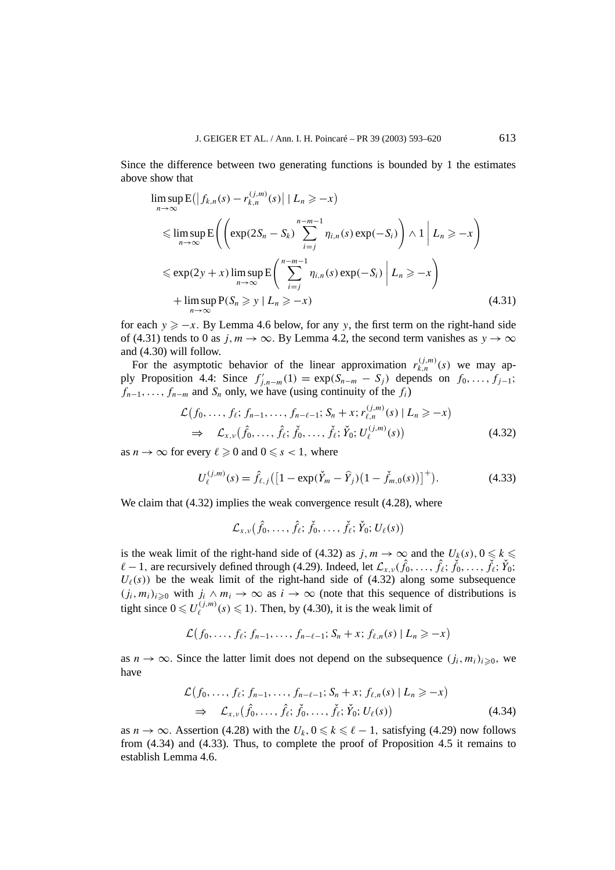Since the difference between two generating functions is bounded by 1 the estimates above show that

$$
\limsup_{n \to \infty} E(|f_{k,n}(s) - r_{k,n}^{(j,m)}(s)| | L_n \ge -x)
$$
\n
$$
\leq \limsup_{n \to \infty} E\left( \left( \exp(2S_n - S_k) \sum_{i=j}^{n-m-1} \eta_{i,n}(s) \exp(-S_i) \right) \wedge 1 | L_n \ge -x \right)
$$
\n
$$
\leq \exp(2y + x) \limsup_{n \to \infty} E\left( \sum_{i=j}^{n-m-1} \eta_{i,n}(s) \exp(-S_i) | L_n \ge -x \right)
$$
\n
$$
+ \limsup_{n \to \infty} P(S_n \ge y | L_n \ge -x) \tag{4.31}
$$

for each  $y \ge -x$ . By Lemma 4.6 below, for any y, the first term on the right-hand side of (4.31) tends to 0 as  $j, m \to \infty$ . By Lemma 4.2, the second term vanishes as  $y \to \infty$ and (4.30) will follow.

For the asymptotic behavior of the linear approximation  $r_{k,n}^{(j,m)}(s)$  we may apply Proposition 4.4: Since  $f'_{j,n-m}(1) = \exp(S_{n-m} - S_j)$  depends on  $f_0, \ldots, f_{j-1}$ ;  $f_{n-1}, \ldots, f_{n-m}$  and  $S_n$  only, we have (using continuity of the  $f_i$ )

$$
\mathcal{L}(f_0, \ldots, f_\ell; f_{n-1}, \ldots, f_{n-\ell-1}; S_n + x; r_{\ell,n}^{(j,m)}(s) | L_n \geq -x) \n\Rightarrow \mathcal{L}_{x,\nu}(\hat{f}_0, \ldots, \hat{f}_\ell; \check{f}_0, \ldots, \check{f}_\ell; \check{Y}_0; U_\ell^{(j,m)}(s))
$$
\n(4.32)

as  $n \to \infty$  for every  $\ell \geq 0$  and  $0 \leq s < 1$ , where

$$
U_{\ell}^{(j,m)}(s) = \hat{f}_{\ell,j} \left( \left[ 1 - \exp(\check{Y}_m - \hat{Y}_j) \left( 1 - \check{f}_{m,0}(s) \right) \right]^+ \right). \tag{4.33}
$$

We claim that  $(4.32)$  implies the weak convergence result  $(4.28)$ , where

$$
\mathcal{L}_{x,\nu}(\hat{f}_0,\ldots,\hat{f}_{\ell};\check{f}_0,\ldots,\check{f}_{\ell};\check{Y}_0;U_{\ell}(s))
$$

is the weak limit of the right-hand side of (4.32) as  $j, m \to \infty$  and the  $U_k(s), 0 \leq k \leq$  $\ell - 1$ , are recursively defined through (4.29). Indeed, let  $\mathcal{L}_{x,y}(\hat{f}_0, \dots, \hat{f}_\ell; \check{f}_0, \dots, \check{f}_\ell; \check{Y}_0;$  $U_{\ell}(s)$ ) be the weak limit of the right-hand side of (4.32) along some subsequence  $(j_i, m_i)_{i\geq 0}$  with  $j_i \wedge m_i \to \infty$  as  $i \to \infty$  (note that this sequence of distributions is tight since  $0 \le U_{\ell}^{(j,m)}(s) \le 1$ . Then, by (4.30), it is the weak limit of

$$
\mathcal{L}(f_0,\ldots,f_\ell; f_{n-1},\ldots,f_{n-\ell-1};S_n+x; f_{\ell,n}(s) | L_n \geq -x)
$$

as  $n \to \infty$ . Since the latter limit does not depend on the subsequence  $(j_i, m_i)_{i\geqslant 0}$ , we have

$$
\mathcal{L}(f_0, \ldots, f_\ell; f_{n-1}, \ldots, f_{n-\ell-1}; S_n + x; f_{\ell,n}(s) | L_n \geq -x)
$$
\n
$$
\Rightarrow \mathcal{L}_{x,\nu}(\hat{f}_0, \ldots, \hat{f}_\ell; \check{f}_0, \ldots, \check{f}_\ell; \check{Y}_0; U_\ell(s)) \tag{4.34}
$$

as  $n \to \infty$ . Assertion (4.28) with the  $U_k$ ,  $0 \le k \le \ell - 1$ , satisfying (4.29) now follows from (4.34) and (4.33). Thus, to complete the proof of Proposition 4.5 it remains to establish Lemma 4.6.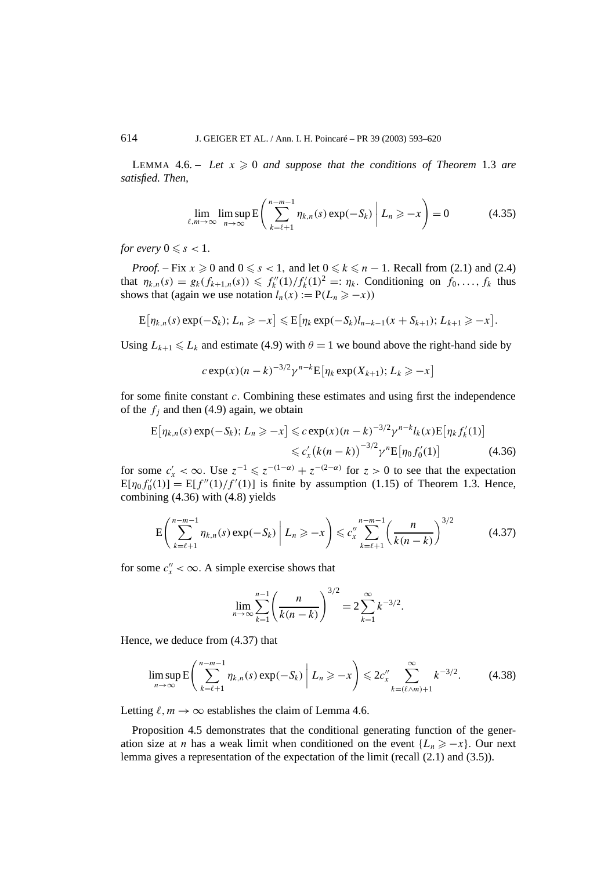LEMMA  $4.6. - Let x \ge 0$  and suppose that the conditions of Theorem 1.3 are *satisfied. Then,*

$$
\lim_{\ell,m\to\infty}\limsup_{n\to\infty}E\left(\sum_{k=\ell+1}^{n-m-1}\eta_{k,n}(s)\exp(-S_k)\middle|L_n\geq -x\right)=0\tag{4.35}
$$

*for every*  $0 \leq s < 1$ *.* 

*Proof.* – Fix  $x \ge 0$  and  $0 \le s < 1$ , and let  $0 \le k \le n - 1$ . Recall from (2.1) and (2.4) that  $\eta_{k,n}(s) = g_k(f_{k+1,n}(s)) \leq \frac{f''_k(1)}{f'_k(1)^2} =: \eta_k$ . Conditioning on  $f_0, \ldots, f_k$  thus shows that (again we use notation  $l_n(x) := P(L_n \ge -x)$ )

$$
E[\eta_{k,n}(s) \exp(-S_k); L_n \geq -x] \leq E[\eta_k \exp(-S_k)l_{n-k-1}(x+S_{k+1}); L_{k+1} \geq -x].
$$

Using  $L_{k+1} \le L_k$  and estimate (4.9) with  $\theta = 1$  we bound above the right-hand side by

$$
c \exp(x)(n-k)^{-3/2} \gamma^{n-k} \mathbb{E} \big[ \eta_k \exp(X_{k+1}); L_k \geq -x \big]
$$

for some finite constant *c.* Combining these estimates and using first the independence of the  $f_i$  and then (4.9) again, we obtain

$$
\mathbf{E}[\eta_{k,n}(s) \exp(-S_k); L_n \ge -x] \le c \exp(x)(n-k)^{-3/2} \gamma^{n-k} l_k(x) \mathbf{E}[\eta_k f'_k(1)]
$$
  

$$
\le c'_x (k(n-k))^{-3/2} \gamma^n \mathbf{E}[\eta_0 f'_0(1)] \tag{4.36}
$$

for some  $c'_x < \infty$ . Use  $z^{-1} \leq z^{-(1-\alpha)} + z^{-(2-\alpha)}$  for  $z > 0$  to see that the expectation  $E[\eta_0 f'_0(1)] = E[f''(1)/f'(1)]$  is finite by assumption (1.15) of Theorem 1.3. Hence, combining (4.36) with (4.8) yields

$$
E\left(\sum_{k=\ell+1}^{n-m-1} \eta_{k,n}(s) \exp(-S_k)\middle| L_n \ge -x\right) \le c_x'' \sum_{k=\ell+1}^{n-m-1} \left(\frac{n}{k(n-k)}\right)^{3/2} \tag{4.37}
$$

for some  $c''_x < \infty$ . A simple exercise shows that

$$
\lim_{n \to \infty} \sum_{k=1}^{n-1} \left( \frac{n}{k(n-k)} \right)^{3/2} = 2 \sum_{k=1}^{\infty} k^{-3/2}.
$$

Hence, we deduce from (4.37) that

$$
\limsup_{n \to \infty} \mathbf{E} \left( \sum_{k=\ell+1}^{n-m-1} \eta_{k,n}(s) \exp(-S_k) \middle| L_n \ge -x \right) \le 2c_x'' \sum_{k=(\ell \wedge m)+1}^{\infty} k^{-3/2}.
$$
 (4.38)

Letting  $\ell, m \to \infty$  establishes the claim of Lemma 4.6.

Proposition 4.5 demonstrates that the conditional generating function of the generation size at *n* has a weak limit when conditioned on the event  $\{L_n \ge -x\}$ . Our next lemma gives a representation of the expectation of the limit (recall (2.1) and (3.5)).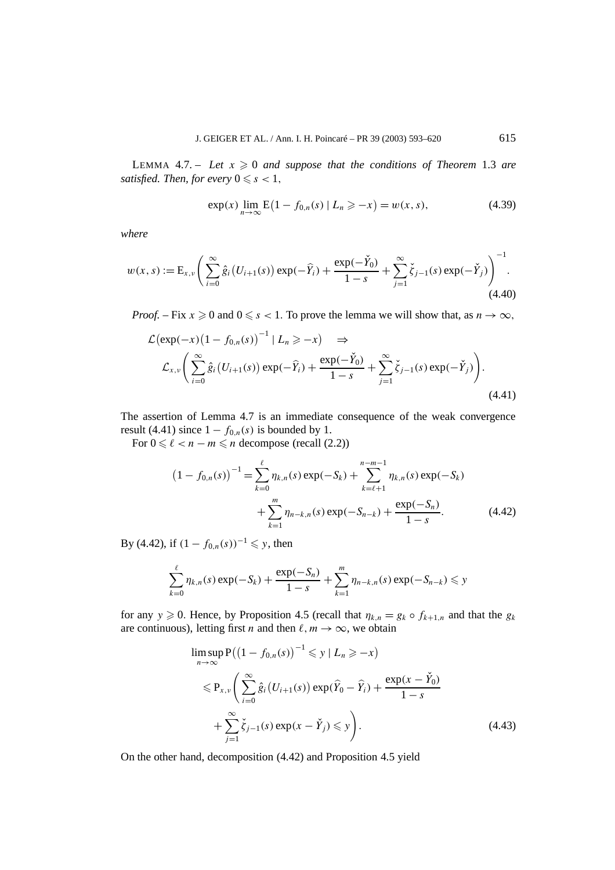LEMMA  $4.7. -$  Let  $x \ge 0$  and suppose that the conditions of Theorem 1.3 are *satisfied. Then, for every*  $0 \leq s < 1$ ,

$$
\exp(x) \lim_{n \to \infty} E(1 - f_{0,n}(s) | L_n \ge -x) = w(x, s), \tag{4.39}
$$

*where*

$$
w(x, s) := \mathcal{E}_{x, v} \left( \sum_{i=0}^{\infty} \hat{g}_i \left( U_{i+1}(s) \right) \exp(-\widehat{Y}_i) + \frac{\exp(-\widecheck{Y}_0)}{1 - s} + \sum_{j=1}^{\infty} \check{\zeta}_{j-1}(s) \exp(-\check{Y}_j) \right)^{-1} . \tag{4.40}
$$

*Proof.* – Fix  $x \ge 0$  and  $0 \le s < 1$ . To prove the lemma we will show that, as  $n \to \infty$ ,

$$
\mathcal{L}(\exp(-x)(1 - f_{0,n}(s))^{-1} | L_n \ge -x) \Rightarrow
$$
  

$$
\mathcal{L}_{x,\nu}\left(\sum_{i=0}^{\infty} \hat{g}_i(U_{i+1}(s)) \exp(-\hat{Y}_i) + \frac{\exp(-\check{Y}_0)}{1 - s} + \sum_{j=1}^{\infty} \check{\zeta}_{j-1}(s) \exp(-\check{Y}_j)\right).
$$
(4.41)

The assertion of Lemma 4.7 is an immediate consequence of the weak convergence result (4.41) since  $1 - f_{0,n}(s)$  is bounded by 1.

For  $0 \le \ell < n - m \le n$  decompose (recall (2.2))

$$
(1 - f_{0,n}(s))^{-1} = \sum_{k=0}^{\ell} \eta_{k,n}(s) \exp(-S_k) + \sum_{k=\ell+1}^{n-m-1} \eta_{k,n}(s) \exp(-S_k) + \sum_{k=1}^{m} \eta_{n-k,n}(s) \exp(-S_{n-k}) + \frac{\exp(-S_n)}{1 - s}.
$$
 (4.42)

By (4.42), if  $(1 - f_{0,n}(s))^{-1}$  ≤ y, then

$$
\sum_{k=0}^{\ell} \eta_{k,n}(s) \exp(-S_k) + \frac{\exp(-S_n)}{1-s} + \sum_{k=1}^{m} \eta_{n-k,n}(s) \exp(-S_{n-k}) \leq y
$$

for any  $y \ge 0$ . Hence, by Proposition 4.5 (recall that  $\eta_{k,n} = g_k \circ f_{k+1,n}$  and that the  $g_k$ are continuous), letting first *n* and then  $\ell, m \to \infty$ , we obtain

$$
\limsup_{n \to \infty} P((1 - f_{0,n}(s))^{-1} \leqslant y \mid L_n \geqslant -x)
$$
\n
$$
\leqslant P_{x,\nu} \left( \sum_{i=0}^{\infty} \hat{g}_i (U_{i+1}(s)) \exp(\hat{Y}_0 - \hat{Y}_i) + \frac{\exp(x - \check{Y}_0)}{1 - s} + \sum_{j=1}^{\infty} \check{\zeta}_{j-1}(s) \exp(x - \check{Y}_j) \leqslant y \right).
$$
\n(4.43)

On the other hand, decomposition (4.42) and Proposition 4.5 yield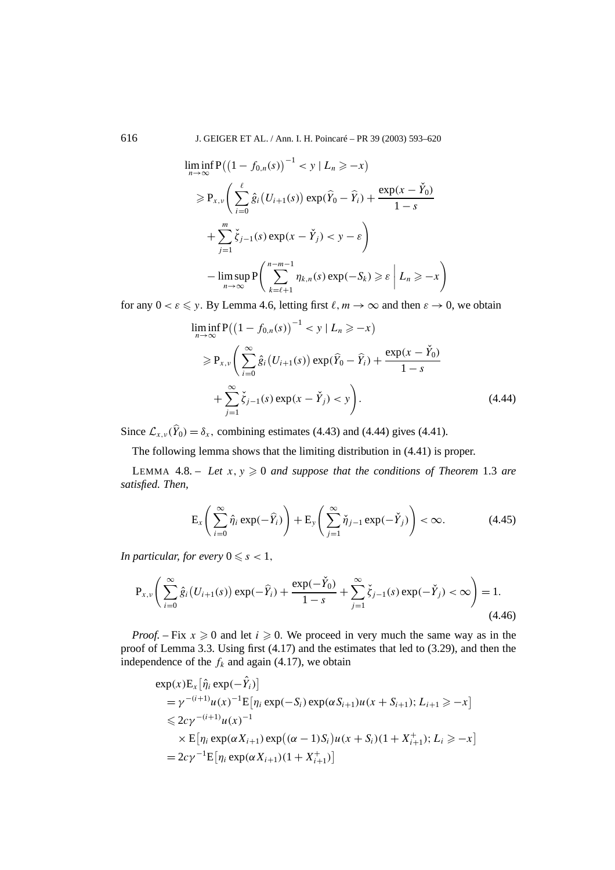616 J. GEIGER ET AL. / Ann. I. H. Poincaré – PR 39 (2003) 593–620

$$
\liminf_{n \to \infty} P((1 - f_{0,n}(s))^{-1} < y \mid L_n \geq -x)
$$
\n
$$
\geq P_{x,\nu} \left( \sum_{i=0}^{\ell} \hat{g}_i(U_{i+1}(s)) \exp(\hat{Y}_0 - \hat{Y}_i) + \frac{\exp(x - \check{Y}_0)}{1 - s} + \sum_{j=1}^{m} \check{\zeta}_{j-1}(s) \exp(x - \check{Y}_j) < y - \varepsilon \right)
$$
\n
$$
- \limsup_{n \to \infty} P\left( \sum_{k=\ell+1}^{n-m-1} \eta_{k,n}(s) \exp(-S_k) \geq \varepsilon \mid L_n \geq -x \right)
$$

for any  $0 < \varepsilon \leq y$ . By Lemma 4.6, letting first  $\ell, m \to \infty$  and then  $\varepsilon \to 0$ , we obtain

$$
\liminf_{n \to \infty} P((1 - f_{0,n}(s))^{-1} < y \mid L_n \ge -x)
$$
\n
$$
\ge P_{x,\nu} \left( \sum_{i=0}^{\infty} \hat{g}_i (U_{i+1}(s)) \exp(\hat{Y}_0 - \hat{Y}_i) + \frac{\exp(x - \check{Y}_0)}{1 - s} + \sum_{j=1}^{\infty} \check{\zeta}_{j-1}(s) \exp(x - \check{Y}_j) < y \right).
$$
\n(4.44)

Since  $\mathcal{L}_{x,y}(\hat{Y}_0) = \delta_x$ , combining estimates (4.43) and (4.44) gives (4.41).

The following lemma shows that the limiting distribution in (4.41) is proper.

LEMMA  $4.8. - Let x, y \geq 0$  and suppose that the conditions of Theorem 1.3 are *satisfied. Then,*

$$
\mathcal{E}_{x}\left(\sum_{i=0}^{\infty}\hat{\eta}_{i}\exp(-\widehat{Y}_{i})\right)+\mathcal{E}_{y}\left(\sum_{j=1}^{\infty}\check{\eta}_{j-1}\exp(-\check{Y}_{j})\right)<\infty.
$$
 (4.45)

*In particular, for every*  $0 \leq s < 1$ *,* 

$$
P_{x,\nu}\left(\sum_{i=0}^{\infty}\hat{g}_i\left(U_{i+1}(s)\right)\exp(-\hat{Y}_i)+\frac{\exp(-\check{Y}_0)}{1-s}+\sum_{j=1}^{\infty}\check{\zeta}_{j-1}(s)\exp(-\check{Y}_j)<\infty\right)=1.
$$
\n(4.46)

*Proof.* – Fix  $x \ge 0$  and let  $i \ge 0$ . We proceed in very much the same way as in the proof of Lemma 3.3. Using first (4.17) and the estimates that led to (3.29), and then the independence of the  $f_k$  and again (4.17), we obtain

$$
\exp(x) \mathbf{E}_x [\hat{\eta}_i \exp(-\hat{Y}_i)]
$$
  
=  $\gamma^{-(i+1)} u(x)^{-1} \mathbf{E} [\eta_i \exp(-S_i) \exp(\alpha S_{i+1}) u(x + S_{i+1}); L_{i+1} \ge -x]$   
 $\le 2c\gamma^{-(i+1)} u(x)^{-1}$   
 $\times \mathbf{E} [\eta_i \exp(\alpha X_{i+1}) \exp((\alpha - 1)S_i) u(x + S_i)(1 + X_{i+1}^+); L_i \ge -x]$   
=  $2c\gamma^{-1} \mathbf{E} [\eta_i \exp(\alpha X_{i+1})(1 + X_{i+1}^+)]$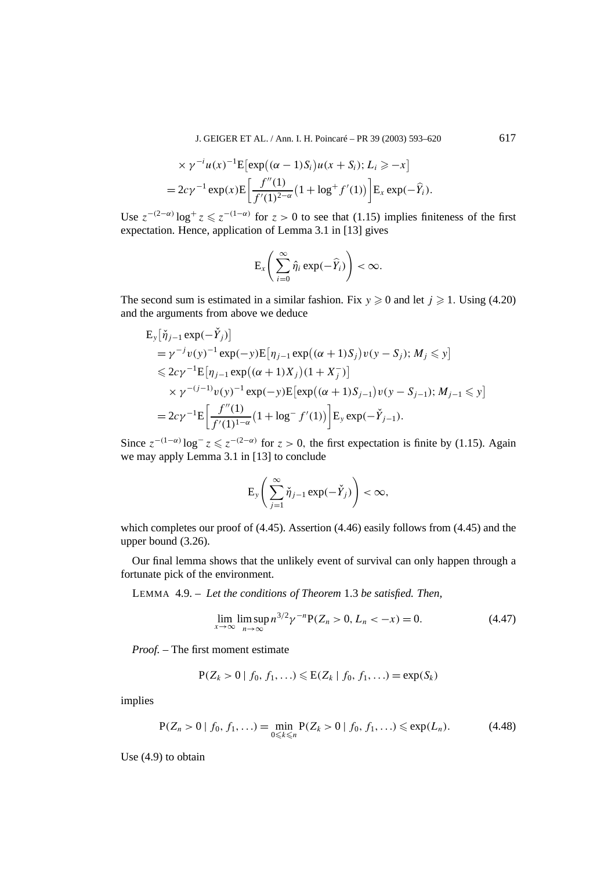J. GEIGER ET AL. / Ann. I. H. Poincaré – PR 39 (2003) 593–620 617

$$
\times \gamma^{-i} u(x)^{-1} \mathbb{E} \left[ \exp\left( (\alpha - 1) S_i \right) u(x + S_i); L_i \ge -x \right]
$$
  
=  $2c\gamma^{-1} \exp(x) \mathbb{E} \left[ \frac{f''(1)}{f'(1)^{2-\alpha}} \left( 1 + \log^+ f'(1) \right) \right] \mathbb{E}_x \exp(-\widehat{Y}_i).$ 

Use  $z^{-(2-\alpha)}\log^+ z \leq z^{-(1-\alpha)}$  for  $z > 0$  to see that (1.15) implies finiteness of the first expectation. Hence, application of Lemma 3.1 in [13] gives

$$
\mathrm{E}_{x}\left(\sum_{i=0}^{\infty}\hat{\eta}_{i}\exp(-\widehat{Y}_{i})\right)<\infty.
$$

The second sum is estimated in a similar fashion. Fix  $y \ge 0$  and let  $j \ge 1$ . Using (4.20) and the arguments from above we deduce

$$
E_y[\check{\eta}_{j-1} \exp(-\check{Y}_j)]
$$
  
=  $\gamma^{-j}v(y)^{-1} \exp(-y)E[\eta_{j-1} \exp((\alpha + 1)S_j)v(y - S_j); M_j \le y]$   
 $\le 2c\gamma^{-1}E[\eta_{j-1} \exp((\alpha + 1)X_j)(1 + X_j^-)]$   
 $\times \gamma^{-(j-1)}v(y)^{-1} \exp(-y)E[\exp((\alpha + 1)S_{j-1})v(y - S_{j-1}); M_{j-1} \le y]$   
=  $2c\gamma^{-1}E\left[\frac{f''(1)}{f'(1)^{1-\alpha}}(1 + \log^{-} f'(1))\right]E_y \exp(-\check{Y}_{j-1}).$ 

Since  $z^{-(1-\alpha)}\log^- z \leqslant z^{-(2-\alpha)}$  for  $z > 0$ , the first expectation is finite by (1.15). Again we may apply Lemma 3.1 in [13] to conclude

$$
\mathrm{E}_{y}\left(\sum_{j=1}^{\infty}\check{\eta}_{j-1}\exp(-\check{Y}_{j})\right)<\infty,
$$

which completes our proof of  $(4.45)$ . Assertion  $(4.46)$  easily follows from  $(4.45)$  and the upper bound (3.26).

Our final lemma shows that the unlikely event of survival can only happen through a fortunate pick of the environment.

LEMMA 4.9. – *Let the conditions of Theorem* 1.3 *be satisfied. Then,*

$$
\lim_{x \to \infty} \limsup_{n \to \infty} n^{3/2} \gamma^{-n} P(Z_n > 0, L_n < -x) = 0.
$$
 (4.47)

*Proof. –* The first moment estimate

$$
P(Z_k > 0 \mid f_0, f_1, \ldots) \le E(Z_k \mid f_0, f_1, \ldots) = \exp(S_k)
$$

implies

$$
P(Z_n > 0 \mid f_0, f_1, \ldots) = \min_{0 \le k \le n} P(Z_k > 0 \mid f_0, f_1, \ldots) \le \exp(L_n). \tag{4.48}
$$

Use (4.9) to obtain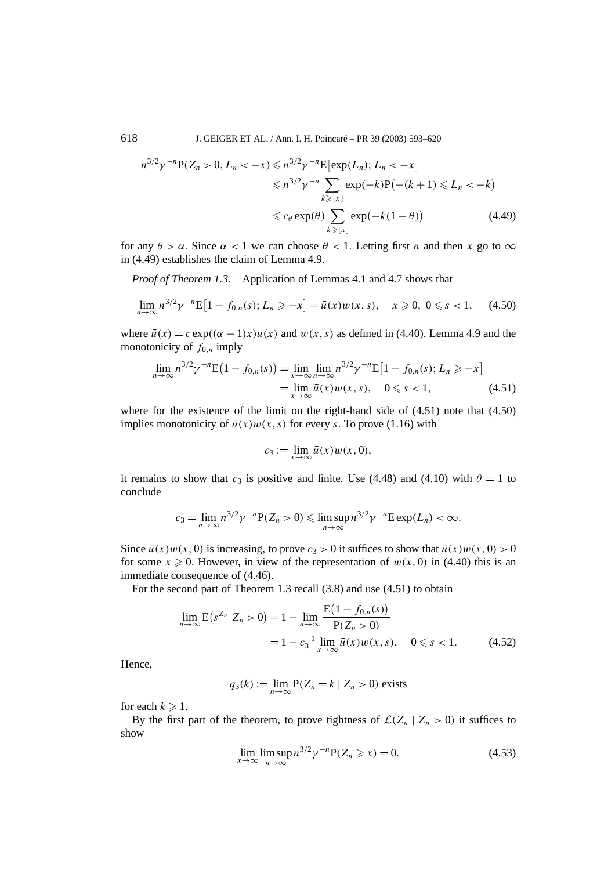618 J. GEIGER ET AL. / Ann. I. H. Poincaré – PR 39 (2003) 593–620

$$
n^{3/2}\gamma^{-n}P(Z_n > 0, L_n < -x) \leq n^{3/2}\gamma^{-n}E[\exp(L_n); L_n < -x]
$$
  

$$
\leq n^{3/2}\gamma^{-n} \sum_{k \geq |x|} \exp(-k)P(-(k+1) \leq L_n < -k)
$$
  

$$
\leq c_\theta \exp(\theta) \sum_{k \geq |x|} \exp(-k(1-\theta)) \tag{4.49}
$$

for any  $\theta > \alpha$ . Since  $\alpha < 1$  we can choose  $\theta < 1$ . Letting first *n* and then *x* go to  $\infty$ in (4.49) establishes the claim of Lemma 4.9.

*Proof of Theorem 1.3. –* Application of Lemmas 4.1 and 4.7 shows that

$$
\lim_{n \to \infty} n^{3/2} \gamma^{-n} \mathbb{E} \left[ 1 - f_{0,n}(s); L_n \ge -x \right] = \bar{u}(x) w(x, s), \quad x \ge 0, \ 0 \le s < 1,\tag{4.50}
$$

where  $\bar{u}(x) = c \exp((\alpha - 1)x)u(x)$  and  $w(x, s)$  as defined in (4.40). Lemma 4.9 and the monotonicity of  $f_{0,n}$  imply

$$
\lim_{n \to \infty} n^{3/2} \gamma^{-n} E(1 - f_{0,n}(s)) = \lim_{x \to \infty} \lim_{n \to \infty} n^{3/2} \gamma^{-n} E[1 - f_{0,n}(s); L_n \ge -x]
$$
  
= 
$$
\lim_{x \to \infty} \bar{u}(x) w(x, s), \quad 0 \le s < 1,
$$
 (4.51)

where for the existence of the limit on the right-hand side of (4.51) note that (4.50) implies monotonicity of  $\bar{u}(x)w(x, s)$  for every *s*. To prove (1.16) with

$$
c_3 := \lim_{x \to \infty} \bar{u}(x) w(x, 0),
$$

it remains to show that  $c_3$  is positive and finite. Use (4.48) and (4.10) with  $\theta = 1$  to conclude

$$
c_3=\lim_{n\to\infty}n^{3/2}\gamma^{-n}\mathbf{P}(Z_n>0)\leqslant \limsup_{n\to\infty}n^{3/2}\gamma^{-n}\mathbf{E}\exp(L_n)<\infty.
$$

Since  $\bar{u}(x)w(x, 0)$  is increasing, to prove  $c_3 > 0$  it suffices to show that  $\bar{u}(x)w(x, 0) > 0$ for some  $x \ge 0$ . However, in view of the representation of  $w(x, 0)$  in (4.40) this is an immediate consequence of (4.46).

For the second part of Theorem 1.3 recall (3.8) and use (4.51) to obtain

$$
\lim_{n \to \infty} \mathcal{E}(s^{Z_n} | Z_n > 0) = 1 - \lim_{n \to \infty} \frac{\mathcal{E}(1 - f_{0,n}(s))}{\mathcal{P}(Z_n > 0)}
$$
  
= 1 - c\_3^{-1} \lim\_{x \to \infty} \bar{u}(x) w(x, s), \quad 0 \le s < 1. (4.52)

Hence,

$$
q_3(k) := \lim_{n \to \infty} P(Z_n = k \mid Z_n > 0)
$$
 exists

for each  $k \geqslant 1$ .

By the first part of the theorem, to prove tightness of  $\mathcal{L}(Z_n | Z_n > 0)$  it suffices to show

$$
\lim_{x \to \infty} \limsup_{n \to \infty} n^{3/2} \gamma^{-n} P(Z_n \geqslant x) = 0.
$$
\n(4.53)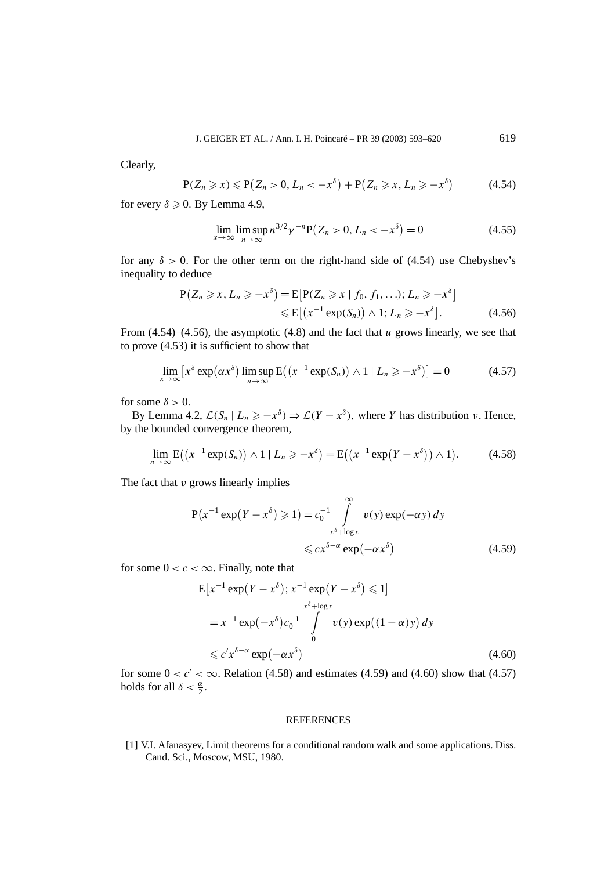Clearly,

$$
P(Z_n \geq x) \leq P(Z_n > 0, \, L_n < -x^\delta) + P(Z_n \geq x, \, L_n \geq -x^\delta) \tag{4.54}
$$

for every  $\delta \geqslant 0$ . By Lemma 4.9,

$$
\lim_{x \to \infty} \limsup_{n \to \infty} n^{3/2} \gamma^{-n} \mathbb{P}\big(Z_n > 0, \, L_n < -x^\delta\big) = 0 \tag{4.55}
$$

for any  $\delta > 0$ . For the other term on the right-hand side of (4.54) use Chebyshev's inequality to deduce

$$
P(Z_n \geq x, L_n \geq -x^{\delta}) = E[P(Z_n \geq x \mid f_0, f_1, \ldots); L_n \geq -x^{\delta}]
$$
  

$$
\leq E[(x^{-1} \exp(S_n)) \wedge 1; L_n \geq -x^{\delta}]. \tag{4.56}
$$

From (4.54)–(4.56), the asymptotic (4.8) and the fact that *u* grows linearly, we see that to prove (4.53) it is sufficient to show that

$$
\lim_{x \to \infty} \left[ x^{\delta} \exp(\alpha x^{\delta}) \limsup_{n \to \infty} \mathcal{E}((x^{-1} \exp(S_n)) \wedge 1 \mid L_n \ge -x^{\delta}) \right] = 0 \tag{4.57}
$$

for some  $\delta > 0$ .

By Lemma 4.2,  $\mathcal{L}(S_n | L_n \geq -x^{\delta}) \Rightarrow \mathcal{L}(Y - x^{\delta})$ , where *Y* has distribution *ν*. Hence, by the bounded convergence theorem,

$$
\lim_{n\to\infty} \mathcal{E}((x^{-1}\exp(S_n))\wedge 1 \mid L_n \geq -x^{\delta}) = \mathcal{E}((x^{-1}\exp(Y-x^{\delta}))\wedge 1). \tag{4.58}
$$

The fact that *v* grows linearly implies

$$
P(x^{-1} \exp(Y - x^{\delta}) \ge 1) = c_0^{-1} \int_{x^{\delta} + \log x}^{\infty} v(y) \exp(-\alpha y) dy
$$
  
\$\le c x^{\delta - \alpha} \exp(-\alpha x^{\delta})\$ (4.59)

for some  $0 < c < \infty$ . Finally, note that

$$
E[x^{-1} \exp(Y - x^{\delta}); x^{-1} \exp(Y - x^{\delta}) \le 1]
$$
  
\n
$$
= x^{-1} \exp(-x^{\delta}) c_0^{-1} \int_{0}^{x^{\delta} + \log x} v(y) \exp((1 - \alpha)y) dy
$$
  
\n
$$
\le c' x^{\delta - \alpha} \exp(-\alpha x^{\delta})
$$
\n(4.60)

for some  $0 < c' < \infty$ . Relation (4.58) and estimates (4.59) and (4.60) show that (4.57) holds for all  $\delta < \frac{\alpha}{2}$ .

### REFERENCES

[1] V.I. Afanasyev, Limit theorems for a conditional random walk and some applications. Diss. Cand. Sci., Moscow, MSU, 1980.